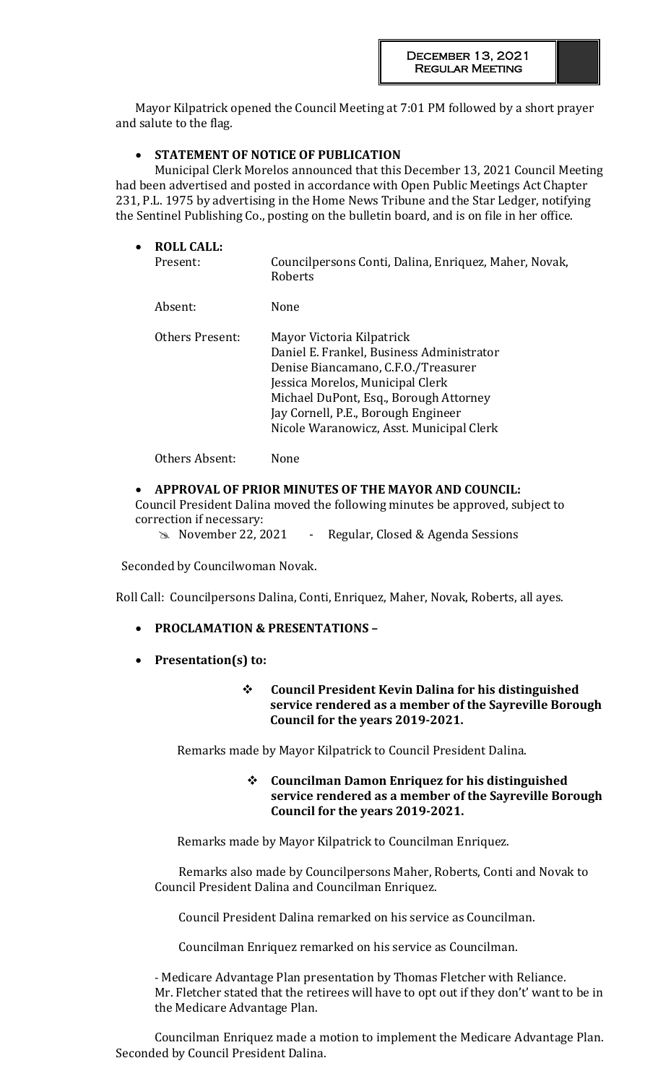Mayor Kilpatrick opened the Council Meeting at 7:01 PM followed by a short prayer and salute to the flag.

## • **STATEMENT OF NOTICE OF PUBLICATION**

Municipal Clerk Morelos announced that this December 13, 2021 Council Meeting had been advertised and posted in accordance with Open Public Meetings Act Chapter 231, P.L. 1975 by advertising in the Home News Tribune and the Star Ledger, notifying the Sentinel Publishing Co., posting on the bulletin board, and is on file in her office.

| $\bullet$ | <b>ROLL CALL:</b><br>Present: | Councilpersons Conti, Dalina, Enriquez, Maher, Novak,<br>Roberts                                                                                                                                                                                                               |
|-----------|-------------------------------|--------------------------------------------------------------------------------------------------------------------------------------------------------------------------------------------------------------------------------------------------------------------------------|
|           | Absent:                       | <b>None</b>                                                                                                                                                                                                                                                                    |
|           | Others Present:               | Mayor Victoria Kilpatrick<br>Daniel E. Frankel, Business Administrator<br>Denise Biancamano, C.F.O./Treasurer<br>Jessica Morelos, Municipal Clerk<br>Michael DuPont, Esq., Borough Attorney<br>Jay Cornell, P.E., Borough Engineer<br>Nicole Waranowicz, Asst. Municipal Clerk |

Others Absent: None

## • **APPROVAL OF PRIOR MINUTES OF THE MAYOR AND COUNCIL:**

Council President Dalina moved the following minutes be approved, subject to correction if necessary:

November 22, 2021 - Regular, Closed & Agenda Sessions

Seconded by Councilwoman Novak.

Roll Call: Councilpersons Dalina, Conti, Enriquez, Maher, Novak, Roberts, all ayes.

- **PROCLAMATION & PRESENTATIONS –**
- **Presentation(s) to:**

## ❖ **Council President Kevin Dalina for his distinguished service rendered as a member of the Sayreville Borough Council for the years 2019-2021.**

Remarks made by Mayor Kilpatrick to Council President Dalina.

## ❖ **Councilman Damon Enriquez for his distinguished service rendered as a member of the Sayreville Borough Council for the years 2019-2021.**

Remarks made by Mayor Kilpatrick to Councilman Enriquez.

Remarks also made by Councilpersons Maher, Roberts, Conti and Novak to Council President Dalina and Councilman Enriquez.

Council President Dalina remarked on his service as Councilman.

Councilman Enriquez remarked on his service as Councilman.

- Medicare Advantage Plan presentation by Thomas Fletcher with Reliance. Mr. Fletcher stated that the retirees will have to opt out if they don't' want to be in the Medicare Advantage Plan.

Councilman Enriquez made a motion to implement the Medicare Advantage Plan. Seconded by Council President Dalina.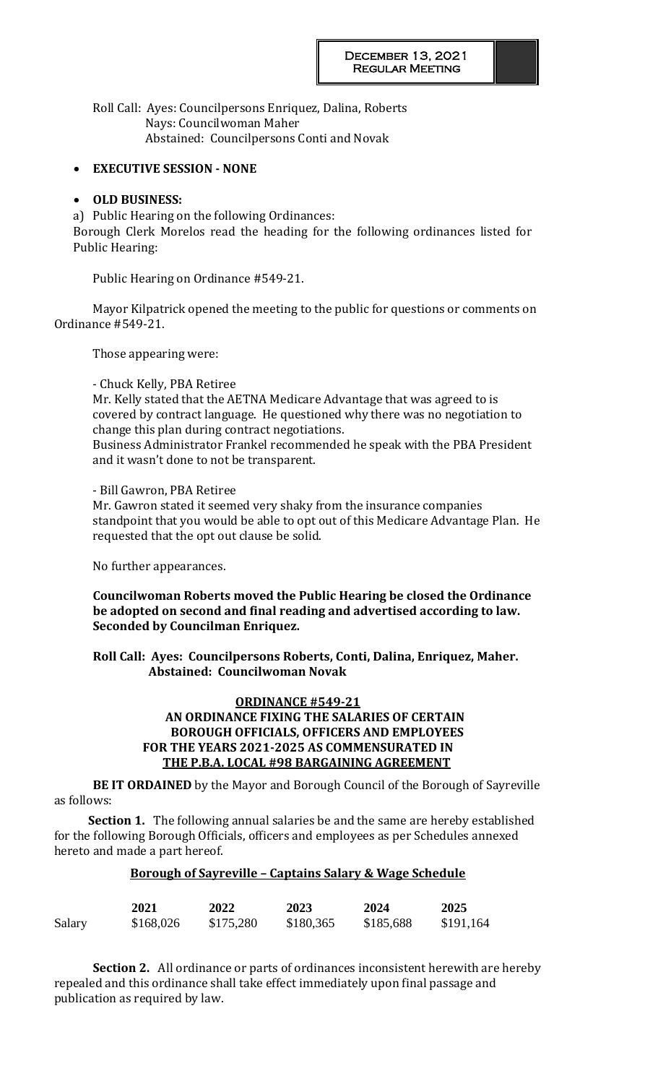Roll Call: Ayes: Councilpersons Enriquez, Dalina, Roberts Nays: Councilwoman Maher Abstained: Councilpersons Conti and Novak

## • **EXECUTIVE SESSION - NONE**

## • **OLD BUSINESS:**

a) Public Hearing on the following Ordinances:

Borough Clerk Morelos read the heading for the following ordinances listed for Public Hearing:

Public Hearing on Ordinance #549-21.

Mayor Kilpatrick opened the meeting to the public for questions or comments on Ordinance #549-21.

Those appearing were:

- Chuck Kelly, PBA Retiree

Mr. Kelly stated that the AETNA Medicare Advantage that was agreed to is covered by contract language. He questioned why there was no negotiation to change this plan during contract negotiations.

Business Administrator Frankel recommended he speak with the PBA President and it wasn't done to not be transparent.

- Bill Gawron, PBA Retiree

Mr. Gawron stated it seemed very shaky from the insurance companies standpoint that you would be able to opt out of this Medicare Advantage Plan. He requested that the opt out clause be solid.

No further appearances.

**Councilwoman Roberts moved the Public Hearing be closed the Ordinance be adopted on second and final reading and advertised according to law. Seconded by Councilman Enriquez.** 

**Roll Call: Ayes: Councilpersons Roberts, Conti, Dalina, Enriquez, Maher. Abstained: Councilwoman Novak**

## **ORDINANCE #549-21 AN ORDINANCE FIXING THE SALARIES OF CERTAIN BOROUGH OFFICIALS, OFFICERS AND EMPLOYEES FOR THE YEARS 2021-2025 AS COMMENSURATED IN THE P.B.A. LOCAL #98 BARGAINING AGREEMENT**

**BE IT ORDAINED** by the Mayor and Borough Council of the Borough of Sayreville as follows:

**Section 1.** The following annual salaries be and the same are hereby established for the following Borough Officials, officers and employees as per Schedules annexed hereto and made a part hereof.

# **Borough of Sayreville – Captains Salary & Wage Schedule**

|        | 2021      | 2022      | 2023      | 2024      | 2025      |
|--------|-----------|-----------|-----------|-----------|-----------|
| Salary | \$168,026 | \$175,280 | \$180,365 | \$185,688 | \$191,164 |

**Section 2.** All ordinance or parts of ordinances inconsistent herewith are hereby repealed and this ordinance shall take effect immediately upon final passage and publication as required by law.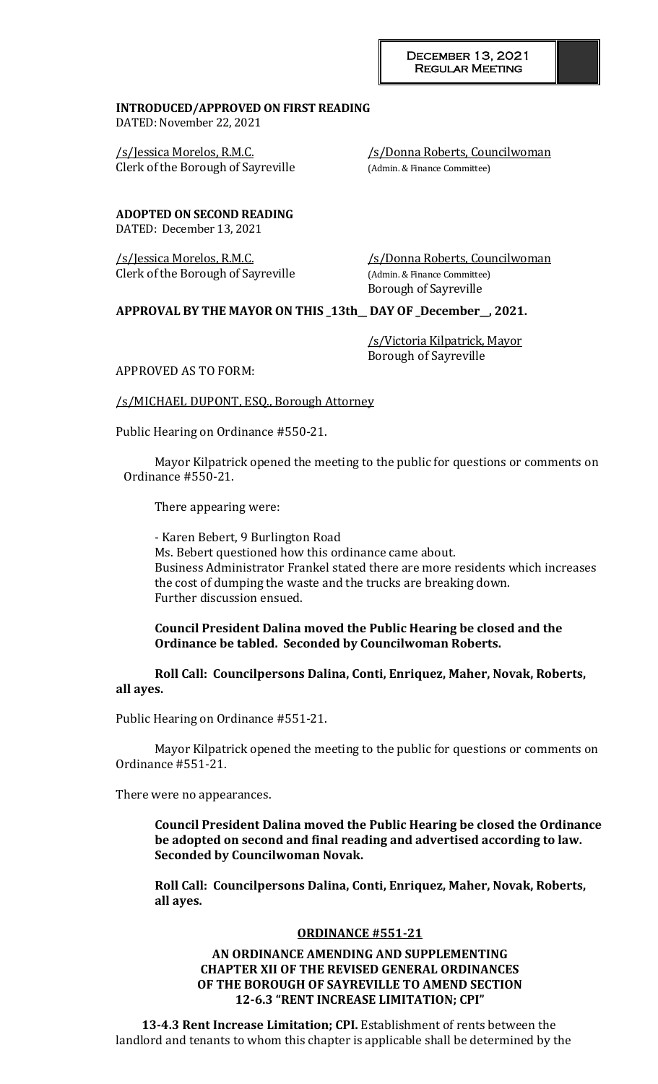## **INTRODUCED/APPROVED ON FIRST READING** DATED: November 22, 2021

Clerk of the Borough of Sayreville (Admin. & Finance Committee)

/s/Jessica Morelos, R.M.C. /s/Donna Roberts, Councilwoman

**ADOPTED ON SECOND READING**

DATED: December 13, 2021

Clerk of the Borough of Sayreville (Admin. & Finance Committee)

/s/Jessica Morelos, R.M.C. /s/Donna Roberts, Councilwoman Borough of Sayreville

# **APPROVAL BY THE MAYOR ON THIS \_13th\_\_ DAY OF \_December\_\_, 2021.**

/s/Victoria Kilpatrick, Mayor Borough of Sayreville

APPROVED AS TO FORM:

/s/MICHAEL DUPONT, ESQ., Borough Attorney

Public Hearing on Ordinance #550-21.

Mayor Kilpatrick opened the meeting to the public for questions or comments on Ordinance #550-21.

There appearing were:

- Karen Bebert, 9 Burlington Road Ms. Bebert questioned how this ordinance came about. Business Administrator Frankel stated there are more residents which increases the cost of dumping the waste and the trucks are breaking down. Further discussion ensued.

**Council President Dalina moved the Public Hearing be closed and the Ordinance be tabled. Seconded by Councilwoman Roberts.**

**Roll Call: Councilpersons Dalina, Conti, Enriquez, Maher, Novak, Roberts, all ayes.**

Public Hearing on Ordinance #551-21.

Mayor Kilpatrick opened the meeting to the public for questions or comments on Ordinance #551-21.

There were no appearances.

**Council President Dalina moved the Public Hearing be closed the Ordinance be adopted on second and final reading and advertised according to law. Seconded by Councilwoman Novak.** 

**Roll Call: Councilpersons Dalina, Conti, Enriquez, Maher, Novak, Roberts, all ayes.**

# **ORDINANCE #551-21**

## **AN ORDINANCE AMENDING AND SUPPLEMENTING CHAPTER XII OF THE REVISED GENERAL ORDINANCES OF THE BOROUGH OF SAYREVILLE TO AMEND SECTION 12-6.3 "RENT INCREASE LIMITATION; CPI"**

**13-4.3 Rent Increase Limitation; CPI.** Establishment of rents between the landlord and tenants to whom this chapter is applicable shall be determined by the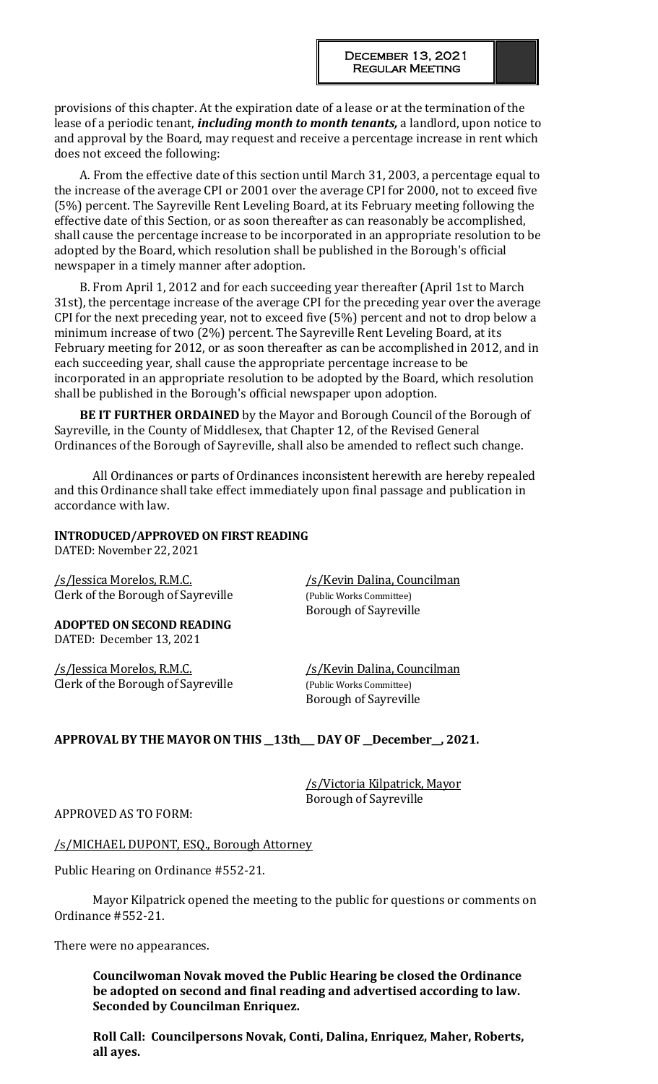provisions of this chapter. At the expiration date of a lease or at the termination of the lease of a periodic tenant, *including month to month tenants,* a landlord, upon notice to and approval by the Board, may request and receive a percentage increase in rent which does not exceed the following:

A. From the effective date of this section until March 31, 2003, a percentage equal to the increase of the average CPI or 2001 over the average CPI for 2000, not to exceed five (5%) percent. The Sayreville Rent Leveling Board, at its February meeting following the effective date of this Section, or as soon thereafter as can reasonably be accomplished, shall cause the percentage increase to be incorporated in an appropriate resolution to be adopted by the Board, which resolution shall be published in the Borough's official newspaper in a timely manner after adoption.

B. From April 1, 2012 and for each succeeding year thereafter (April 1st to March 31st), the percentage increase of the average CPI for the preceding year over the average CPI for the next preceding year, not to exceed five (5%) percent and not to drop below a minimum increase of two (2%) percent. The Sayreville Rent Leveling Board, at its February meeting for 2012, or as soon thereafter as can be accomplished in 2012, and in each succeeding year, shall cause the appropriate percentage increase to be incorporated in an appropriate resolution to be adopted by the Board, which resolution shall be published in the Borough's official newspaper upon adoption.

**BE IT FURTHER ORDAINED** by the Mayor and Borough Council of the Borough of Sayreville, in the County of Middlesex, that Chapter 12, of the Revised General Ordinances of the Borough of Sayreville, shall also be amended to reflect such change.

All Ordinances or parts of Ordinances inconsistent herewith are hereby repealed and this Ordinance shall take effect immediately upon final passage and publication in accordance with law.

## **INTRODUCED/APPROVED ON FIRST READING**

DATED: November 22, 2021

/s/Jessica Morelos, R.M.C. /s/Kevin Dalina, Councilman Clerk of the Borough of Sayreville (Public Works Committee)

**ADOPTED ON SECOND READING** DATED: December 13, 2021

/s/Jessica Morelos, R.M.C. /s/Kevin Dalina, Councilman Clerk of the Borough of Sayreville (Public Works Committee)

Borough of Sayreville

Borough of Sayreville

# **APPROVAL BY THE MAYOR ON THIS \_\_13th\_\_\_ DAY OF \_\_December\_\_, 2021.**

/s/Victoria Kilpatrick, Mayor Borough of Sayreville

APPROVED AS TO FORM:

/s/MICHAEL DUPONT, ESQ., Borough Attorney

Public Hearing on Ordinance #552-21.

Mayor Kilpatrick opened the meeting to the public for questions or comments on Ordinance #552-21.

There were no appearances.

**Councilwoman Novak moved the Public Hearing be closed the Ordinance be adopted on second and final reading and advertised according to law. Seconded by Councilman Enriquez.** 

**Roll Call: Councilpersons Novak, Conti, Dalina, Enriquez, Maher, Roberts, all ayes.**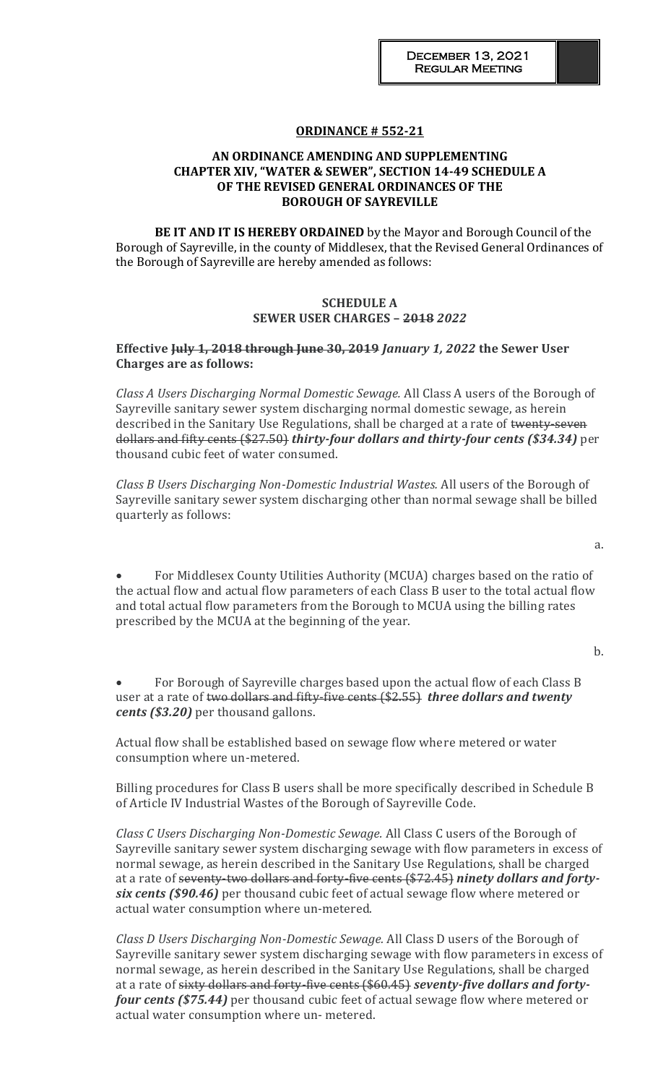## **ORDINANCE # 552-21**

## **AN ORDINANCE AMENDING AND SUPPLEMENTING CHAPTER XIV, "WATER & SEWER", SECTION 14-49 SCHEDULE A OF THE REVISED GENERAL ORDINANCES OF THE BOROUGH OF SAYREVILLE**

**BE IT AND IT IS HEREBY ORDAINED** by the Mayor and Borough Council of the Borough of Sayreville, in the county of Middlesex, that the Revised General Ordinances of the Borough of Sayreville are hereby amended as follows:

## **SCHEDULE A SEWER USER CHARGES – 2018** *2022*

## **Effective July 1, 2018 through June 30, 2019** *January 1, 2022* **the Sewer User Charges are as follows:**

*Class A Users Discharging Normal Domestic Sewage.* All Class A users of the Borough of Sayreville sanitary sewer system discharging normal domestic sewage, as herein described in the Sanitary Use Regulations, shall be charged at a rate of twenty-seven dollars and fifty cents (\$27.50) *thirty-four dollars and thirty-four cents (\$34.34)* per thousand cubic feet of water consumed.

*Class B Users Discharging Non-Domestic Industrial Wastes.* All users of the Borough of Sayreville sanitary sewer system discharging other than normal sewage shall be billed quarterly as follows:

a.

• For Middlesex County Utilities Authority (MCUA) charges based on the ratio of the actual flow and actual flow parameters of each Class B user to the total actual flow and total actual flow parameters from the Borough to MCUA using the billing rates prescribed by the MCUA at the beginning of the year.

b.

• For Borough of Sayreville charges based upon the actual flow of each Class B user at a rate of two dollars and fifty-five cents (\$2.55) *three dollars and twenty cents (\$3.20)* per thousand gallons.

Actual flow shall be established based on sewage flow where metered or water consumption where un-metered.

Billing procedures for Class B users shall be more specifically described in Schedule B of Article IV Industrial Wastes of the Borough of Sayreville Code.

*Class C Users Discharging Non-Domestic Sewage.* All Class C users of the Borough of Sayreville sanitary sewer system discharging sewage with flow parameters in excess of normal sewage, as herein described in the Sanitary Use Regulations, shall be charged at a rate of seventy-two dollars and forty-five cents (\$72.45) *ninety dollars and fortysix cents (\$90.46)* per thousand cubic feet of actual sewage flow where metered or actual water consumption where un-metered.

*Class D Users Discharging Non-Domestic Sewage.* All Class D users of the Borough of Sayreville sanitary sewer system discharging sewage with flow parameters in excess of normal sewage, as herein described in the Sanitary Use Regulations, shall be charged at a rate of sixty dollars and forty-five cents (\$60.45) *seventy-five dollars and fortyfour cents (\$75.44)* per thousand cubic feet of actual sewage flow where metered or actual water consumption where un- metered.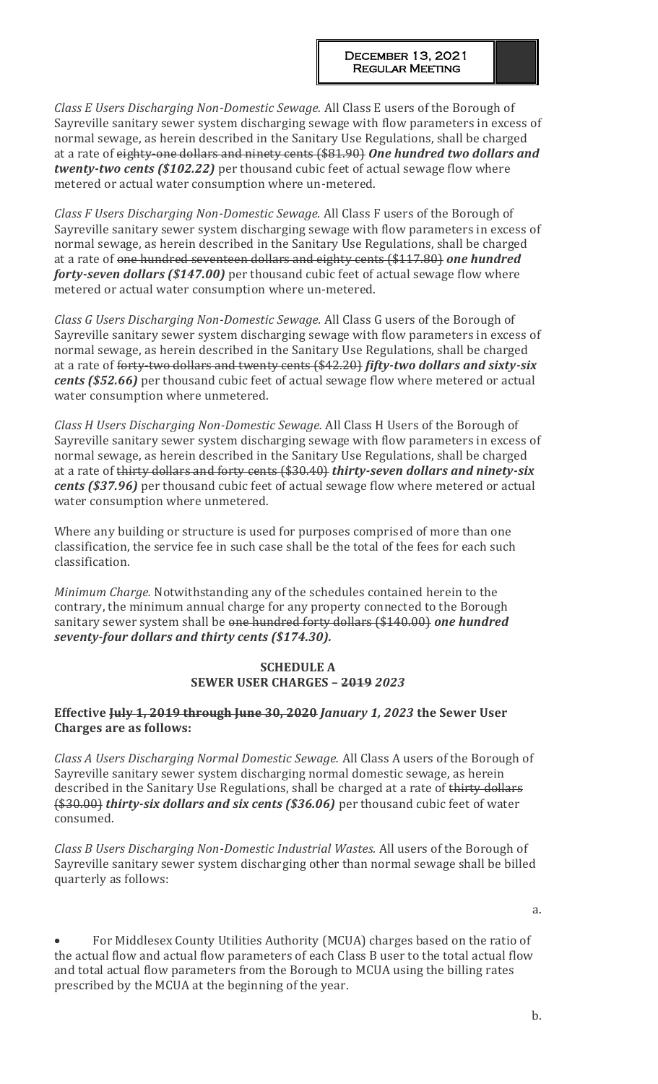*Class E Users Discharging Non-Domestic Sewage.* All Class E users of the Borough of Sayreville sanitary sewer system discharging sewage with flow parameters in excess of normal sewage, as herein described in the Sanitary Use Regulations, shall be charged at a rate of eighty-one dollars and ninety cents (\$81.90) *One hundred two dollars and twenty-two cents (\$102.22)* per thousand cubic feet of actual sewage flow where metered or actual water consumption where un-metered.

*Class F Users Discharging Non-Domestic Sewage.* All Class F users of the Borough of Sayreville sanitary sewer system discharging sewage with flow parameters in excess of normal sewage, as herein described in the Sanitary Use Regulations, shall be charged at a rate of one hundred seventeen dollars and eighty cents (\$117.80) *one hundred forty-seven dollars (\$147.00)* per thousand cubic feet of actual sewage flow where metered or actual water consumption where un-metered.

*Class G Users Discharging Non-Domestic Sewage.* All Class G users of the Borough of Sayreville sanitary sewer system discharging sewage with flow parameters in excess of normal sewage, as herein described in the Sanitary Use Regulations, shall be charged at a rate of forty-two dollars and twenty cents (\$42.20) *fifty-two dollars and sixty-six cents (\$52.66)* per thousand cubic feet of actual sewage flow where metered or actual water consumption where unmetered.

*Class H Users Discharging Non-Domestic Sewage.* All Class H Users of the Borough of Sayreville sanitary sewer system discharging sewage with flow parameters in excess of normal sewage, as herein described in the Sanitary Use Regulations, shall be charged at a rate of thirty dollars and forty cents (\$30.40) *thirty-seven dollars and ninety-six cents (\$37.96)* per thousand cubic feet of actual sewage flow where metered or actual water consumption where unmetered.

Where any building or structure is used for purposes comprised of more than one classification, the service fee in such case shall be the total of the fees for each such classification.

*Minimum Charge.* Notwithstanding any of the schedules contained herein to the contrary, the minimum annual charge for any property connected to the Borough sanitary sewer system shall be one hundred forty dollars (\$140.00) *one hundred seventy-four dollars and thirty cents (\$174.30).*

## **SCHEDULE A SEWER USER CHARGES – 2019** *2023*

# **Effective July 1, 2019 through June 30, 2020** *January 1, 2023* **the Sewer User Charges are as follows:**

*Class A Users Discharging Normal Domestic Sewage.* All Class A users of the Borough of Sayreville sanitary sewer system discharging normal domestic sewage, as herein described in the Sanitary Use Regulations, shall be charged at a rate of thirty dollars (\$30.00) *thirty-six dollars and six cents (\$36.06)* per thousand cubic feet of water consumed.

*Class B Users Discharging Non-Domestic Industrial Wastes.* All users of the Borough of Sayreville sanitary sewer system discharging other than normal sewage shall be billed quarterly as follows:

a.

• For Middlesex County Utilities Authority (MCUA) charges based on the ratio of the actual flow and actual flow parameters of each Class B user to the total actual flow and total actual flow parameters from the Borough to MCUA using the billing rates prescribed by the MCUA at the beginning of the year.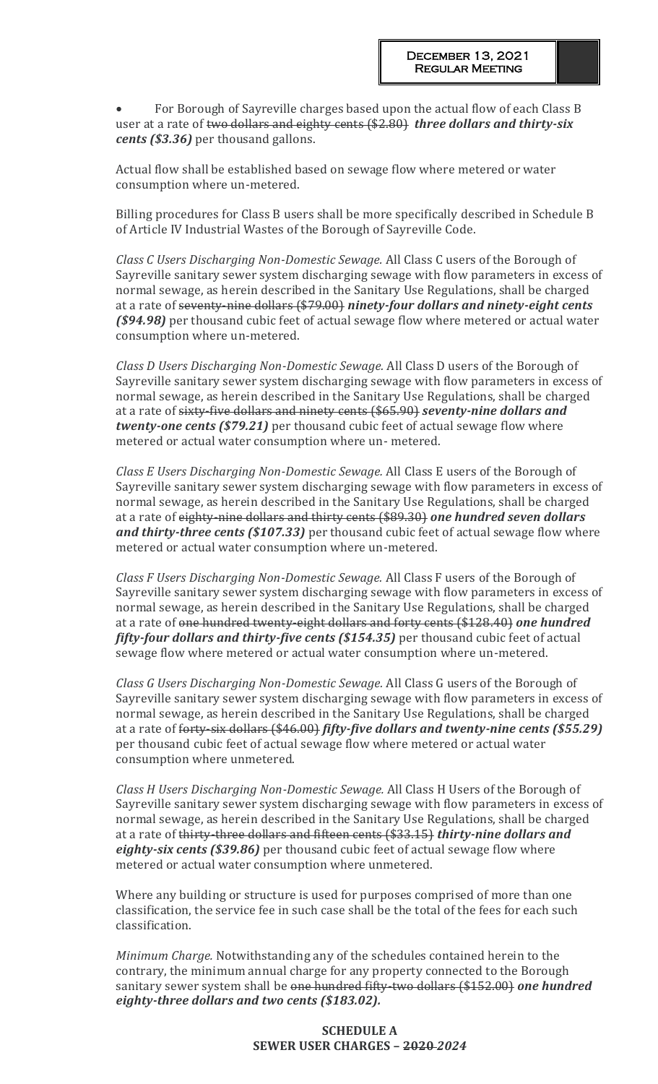• For Borough of Sayreville charges based upon the actual flow of each Class B user at a rate of two dollars and eighty cents (\$2.80) *three dollars and thirty-six cents (\$3.36)* per thousand gallons.

Actual flow shall be established based on sewage flow where metered or water consumption where un-metered.

Billing procedures for Class B users shall be more specifically described in Schedule B of Article IV Industrial Wastes of the Borough of Sayreville Code.

*Class C Users Discharging Non-Domestic Sewage.* All Class C users of the Borough of Sayreville sanitary sewer system discharging sewage with flow parameters in excess of normal sewage, as herein described in the Sanitary Use Regulations, shall be charged at a rate of seventy-nine dollars (\$79.00) *ninety-four dollars and ninety-eight cents (\$94.98)* per thousand cubic feet of actual sewage flow where metered or actual water consumption where un-metered.

*Class D Users Discharging Non-Domestic Sewage.* All Class D users of the Borough of Sayreville sanitary sewer system discharging sewage with flow parameters in excess of normal sewage, as herein described in the Sanitary Use Regulations, shall be charged at a rate of sixty-five dollars and ninety cents (\$65.90) *seventy-nine dollars and twenty-one cents (\$79.21)* per thousand cubic feet of actual sewage flow where metered or actual water consumption where un- metered.

*Class E Users Discharging Non-Domestic Sewage.* All Class E users of the Borough of Sayreville sanitary sewer system discharging sewage with flow parameters in excess of normal sewage, as herein described in the Sanitary Use Regulations, shall be charged at a rate of eighty-nine dollars and thirty cents (\$89.30) *one hundred seven dollars and thirty-three cents (\$107.33)* per thousand cubic feet of actual sewage flow where metered or actual water consumption where un-metered.

*Class F Users Discharging Non-Domestic Sewage.* All Class F users of the Borough of Sayreville sanitary sewer system discharging sewage with flow parameters in excess of normal sewage, as herein described in the Sanitary Use Regulations, shall be charged at a rate of one hundred twenty-eight dollars and forty cents (\$128.40) *one hundred fifty-four dollars and thirty-five cents (\$154.35)* per thousand cubic feet of actual sewage flow where metered or actual water consumption where un-metered.

*Class G Users Discharging Non-Domestic Sewage.* All Class G users of the Borough of Sayreville sanitary sewer system discharging sewage with flow parameters in excess of normal sewage, as herein described in the Sanitary Use Regulations, shall be charged at a rate of forty-six dollars (\$46.00) *fifty-five dollars and twenty-nine cents (\$55.29)*  per thousand cubic feet of actual sewage flow where metered or actual water consumption where unmetered.

*Class H Users Discharging Non-Domestic Sewage.* All Class H Users of the Borough of Sayreville sanitary sewer system discharging sewage with flow parameters in excess of normal sewage, as herein described in the Sanitary Use Regulations, shall be charged at a rate of thirty-three dollars and fifteen cents (\$33.15) *thirty-nine dollars and eighty-six cents (\$39.86)* per thousand cubic feet of actual sewage flow where metered or actual water consumption where unmetered.

Where any building or structure is used for purposes comprised of more than one classification, the service fee in such case shall be the total of the fees for each such classification.

*Minimum Charge.* Notwithstanding any of the schedules contained herein to the contrary, the minimum annual charge for any property connected to the Borough sanitary sewer system shall be one hundred fifty-two dollars (\$152.00) *one hundred eighty-three dollars and two cents (\$183.02).*

## **SCHEDULE A SEWER USER CHARGES – 2020** *2024*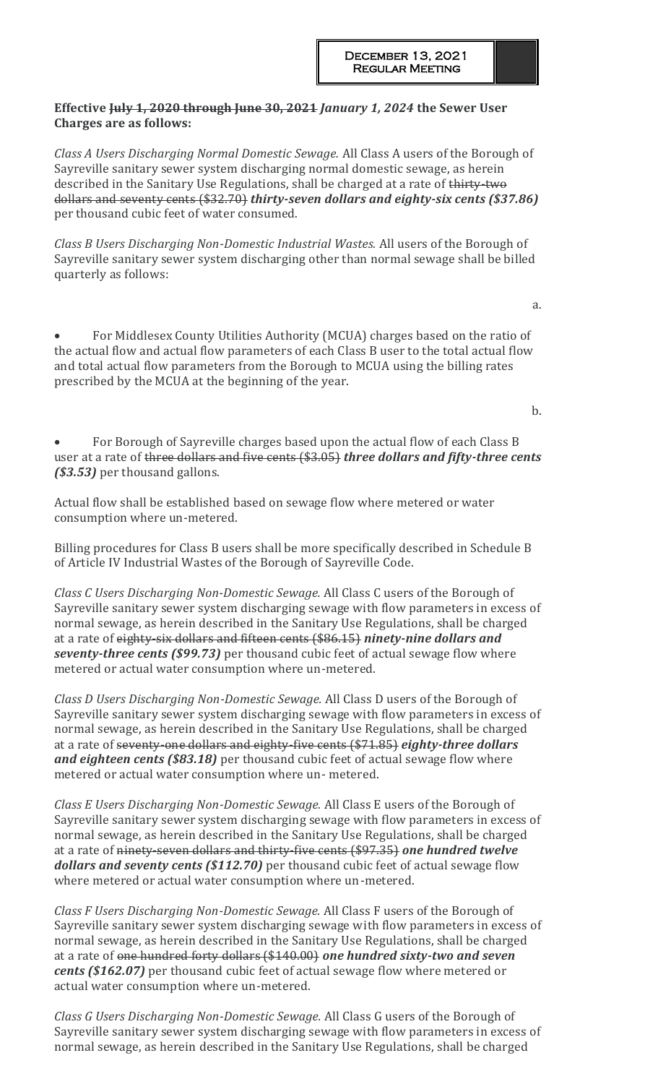# **Effective July 1, 2020 through June 30, 2021** *January 1, 2024* **the Sewer User Charges are as follows:**

*Class A Users Discharging Normal Domestic Sewage.* All Class A users of the Borough of Sayreville sanitary sewer system discharging normal domestic sewage, as herein described in the Sanitary Use Regulations, shall be charged at a rate of thirty-two dollars and seventy cents (\$32.70) *thirty-seven dollars and eighty-six cents (\$37.86)*  per thousand cubic feet of water consumed.

*Class B Users Discharging Non-Domestic Industrial Wastes.* All users of the Borough of Sayreville sanitary sewer system discharging other than normal sewage shall be billed quarterly as follows:

a.

• For Middlesex County Utilities Authority (MCUA) charges based on the ratio of the actual flow and actual flow parameters of each Class B user to the total actual flow and total actual flow parameters from the Borough to MCUA using the billing rates prescribed by the MCUA at the beginning of the year.

b.

• For Borough of Sayreville charges based upon the actual flow of each Class B user at a rate of three dollars and five cents (\$3.05) *three dollars and fifty-three cents (\$3.53)* per thousand gallons.

Actual flow shall be established based on sewage flow where metered or water consumption where un-metered.

Billing procedures for Class B users shall be more specifically described in Schedule B of Article IV Industrial Wastes of the Borough of Sayreville Code.

*Class C Users Discharging Non-Domestic Sewage.* All Class C users of the Borough of Sayreville sanitary sewer system discharging sewage with flow parameters in excess of normal sewage, as herein described in the Sanitary Use Regulations, shall be charged at a rate of eighty-six dollars and fifteen cents (\$86.15) *ninety-nine dollars and seventy-three cents (\$99.73)* per thousand cubic feet of actual sewage flow where metered or actual water consumption where un-metered.

*Class D Users Discharging Non-Domestic Sewage.* All Class D users of the Borough of Sayreville sanitary sewer system discharging sewage with flow parameters in excess of normal sewage, as herein described in the Sanitary Use Regulations, shall be charged at a rate of seventy-one dollars and eighty-five cents (\$71.85) *eighty-three dollars and eighteen cents (\$83.18)* per thousand cubic feet of actual sewage flow where metered or actual water consumption where un- metered.

*Class E Users Discharging Non-Domestic Sewage.* All Class E users of the Borough of Sayreville sanitary sewer system discharging sewage with flow parameters in excess of normal sewage, as herein described in the Sanitary Use Regulations, shall be charged at a rate of ninety-seven dollars and thirty-five cents (\$97.35) *one hundred twelve dollars and seventy cents (\$112.70)* per thousand cubic feet of actual sewage flow where metered or actual water consumption where un-metered.

*Class F Users Discharging Non-Domestic Sewage.* All Class F users of the Borough of Sayreville sanitary sewer system discharging sewage with flow parameters in excess of normal sewage, as herein described in the Sanitary Use Regulations, shall be charged at a rate of one hundred forty dollars (\$140.00) *one hundred sixty-two and seven cents (\$162.07)* per thousand cubic feet of actual sewage flow where metered or actual water consumption where un-metered.

*Class G Users Discharging Non-Domestic Sewage.* All Class G users of the Borough of Sayreville sanitary sewer system discharging sewage with flow parameters in excess of normal sewage, as herein described in the Sanitary Use Regulations, shall be charged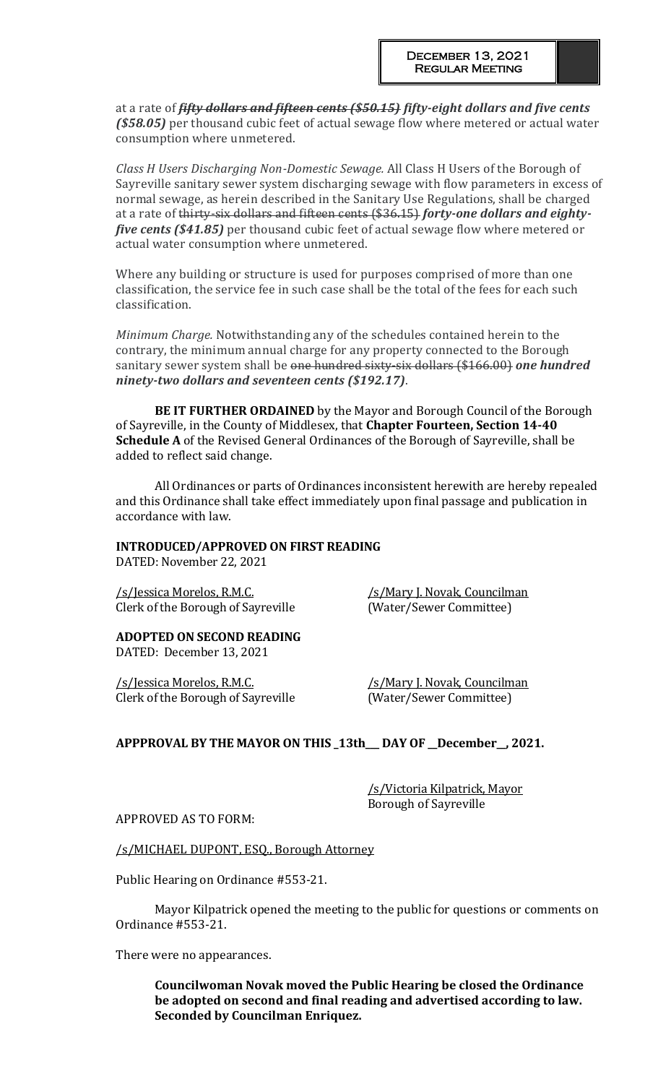at a rate of *fifty dollars and fifteen cents (\$50.15) fifty-eight dollars and five cents (\$58.05)* per thousand cubic feet of actual sewage flow where metered or actual water consumption where unmetered.

*Class H Users Discharging Non-Domestic Sewage.* All Class H Users of the Borough of Sayreville sanitary sewer system discharging sewage with flow parameters in excess of normal sewage, as herein described in the Sanitary Use Regulations, shall be charged at a rate of thirty-six dollars and fifteen cents (\$36.15) *forty-one dollars and eightyfive cents (\$41.85)* per thousand cubic feet of actual sewage flow where metered or actual water consumption where unmetered.

Where any building or structure is used for purposes comprised of more than one classification, the service fee in such case shall be the total of the fees for each such classification.

*Minimum Charge.* Notwithstanding any of the schedules contained herein to the contrary, the minimum annual charge for any property connected to the Borough sanitary sewer system shall be one hundred sixty-six dollars (\$166.00) *one hundred ninety-two dollars and seventeen cents (\$192.17)*.

**BE IT FURTHER ORDAINED** by the Mayor and Borough Council of the Borough of Sayreville, in the County of Middlesex, that **Chapter Fourteen, Section 14-40 Schedule A** of the Revised General Ordinances of the Borough of Sayreville, shall be added to reflect said change.

All Ordinances or parts of Ordinances inconsistent herewith are hereby repealed and this Ordinance shall take effect immediately upon final passage and publication in accordance with law.

## **INTRODUCED/APPROVED ON FIRST READING**

DATED: November 22, 2021

/s/Jessica Morelos, R.M.C. /s/Mary J. Novak, Councilman Clerk of the Borough of Sayreville (Water/Sewer Committee)

# **ADOPTED ON SECOND READING**

DATED: December 13, 2021

/s/Jessica Morelos, R.M.C. /s/Mary J. Novak, Councilman Clerk of the Borough of Sayreville (Water/Sewer Committee)

# **APPPROVAL BY THE MAYOR ON THIS \_13th\_\_\_ DAY OF \_\_December\_\_, 2021.**

/s/Victoria Kilpatrick, Mayor Borough of Sayreville

APPROVED AS TO FORM:

/s/MICHAEL DUPONT, ESQ., Borough Attorney

Public Hearing on Ordinance #553-21.

Mayor Kilpatrick opened the meeting to the public for questions or comments on Ordinance #553-21.

There were no appearances.

**Councilwoman Novak moved the Public Hearing be closed the Ordinance be adopted on second and final reading and advertised according to law. Seconded by Councilman Enriquez.**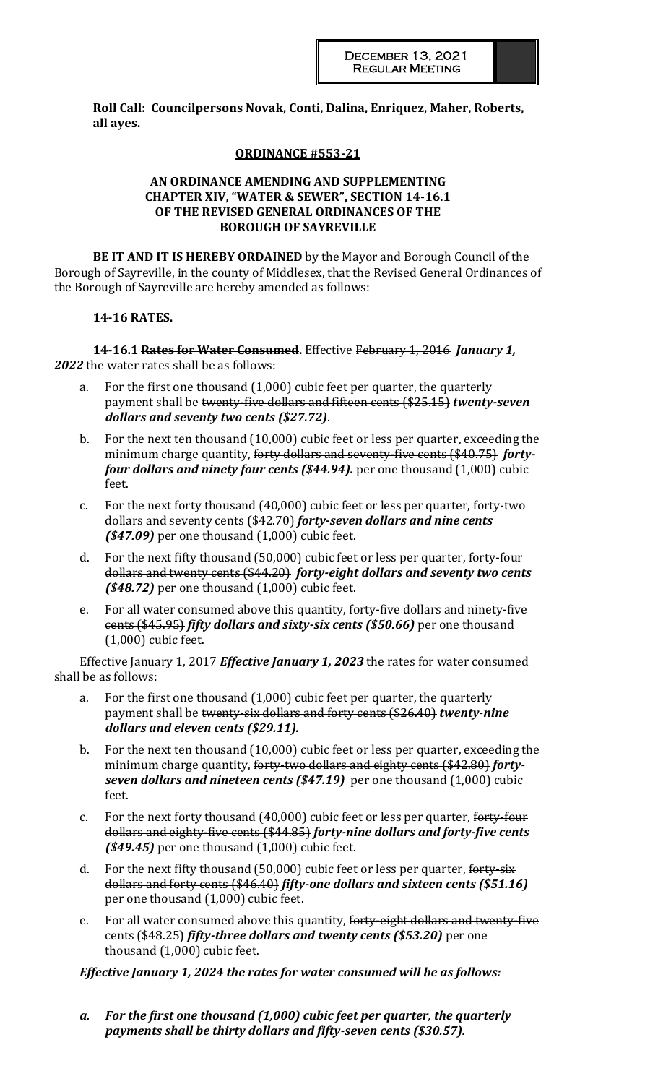**Roll Call: Councilpersons Novak, Conti, Dalina, Enriquez, Maher, Roberts, all ayes.**

## **ORDINANCE #553-21**

## **AN ORDINANCE AMENDING AND SUPPLEMENTING CHAPTER XIV, "WATER & SEWER", SECTION 14-16.1 OF THE REVISED GENERAL ORDINANCES OF THE BOROUGH OF SAYREVILLE**

**BE IT AND IT IS HEREBY ORDAINED** by the Mayor and Borough Council of the Borough of Sayreville, in the county of Middlesex, that the Revised General Ordinances of the Borough of Sayreville are hereby amended as follows:

## **14-16 RATES.**

**14-16.1 Rates for Water Consumed.** Effective February 1, 2016 *January 1, 2022* the water rates shall be as follows:

- a. For the first one thousand (1,000) cubic feet per quarter, the quarterly payment shall be twenty-five dollars and fifteen cents (\$25.15) *twenty-seven dollars and seventy two cents (\$27.72)*.
- b. For the next ten thousand (10,000) cubic feet or less per quarter, exceeding the minimum charge quantity, forty dollars and seventy-five cents (\$40.75) *fortyfour dollars and ninety four cents (\$44.94).* per one thousand (1,000) cubic feet.
- c. For the next forty thousand (40,000) cubic feet or less per quarter, forty-two dollars and seventy cents (\$42.70) *forty-seven dollars and nine cents (\$47.09)* per one thousand (1,000) cubic feet.
- d. For the next fifty thousand (50,000) cubic feet or less per quarter, forty-four dollars and twenty cents (\$44.20) *forty-eight dollars and seventy two cents (\$48.72)* per one thousand (1,000) cubic feet.
- e. For all water consumed above this quantity, forty-five dollars and ninety-five cents (\$45.95) *fifty dollars and sixty-six cents (\$50.66)* per one thousand (1,000) cubic feet.

Effective January 1, 2017 *Effective January 1, 2023* the rates for water consumed shall be as follows:

- a. For the first one thousand (1,000) cubic feet per quarter, the quarterly payment shall be twenty-six dollars and forty cents (\$26.40) *twenty-nine dollars and eleven cents (\$29.11).*
- b. For the next ten thousand (10,000) cubic feet or less per quarter, exceeding the minimum charge quantity, forty-two dollars and eighty cents (\$42.80) *fortyseven dollars and nineteen cents (\$47.19)* per one thousand (1,000) cubic feet.
- c. For the next forty thousand (40,000) cubic feet or less per quarter, forty-four dollars and eighty-five cents (\$44.85) *forty-nine dollars and forty-five cents (\$49.45)* per one thousand (1,000) cubic feet.
- d. For the next fifty thousand (50,000) cubic feet or less per quarter, forty-six dollars and forty cents (\$46.40) *fifty-one dollars and sixteen cents (\$51.16)*  per one thousand (1,000) cubic feet.
- e. For all water consumed above this quantity, forty-eight dollars and twenty-five cents (\$48.25) *fifty-three dollars and twenty cents (\$53.20)* per one thousand (1,000) cubic feet.

*Effective January 1, 2024 the rates for water consumed will be as follows:*

*a. For the first one thousand (1,000) cubic feet per quarter, the quarterly payments shall be thirty dollars and fifty-seven cents (\$30.57).*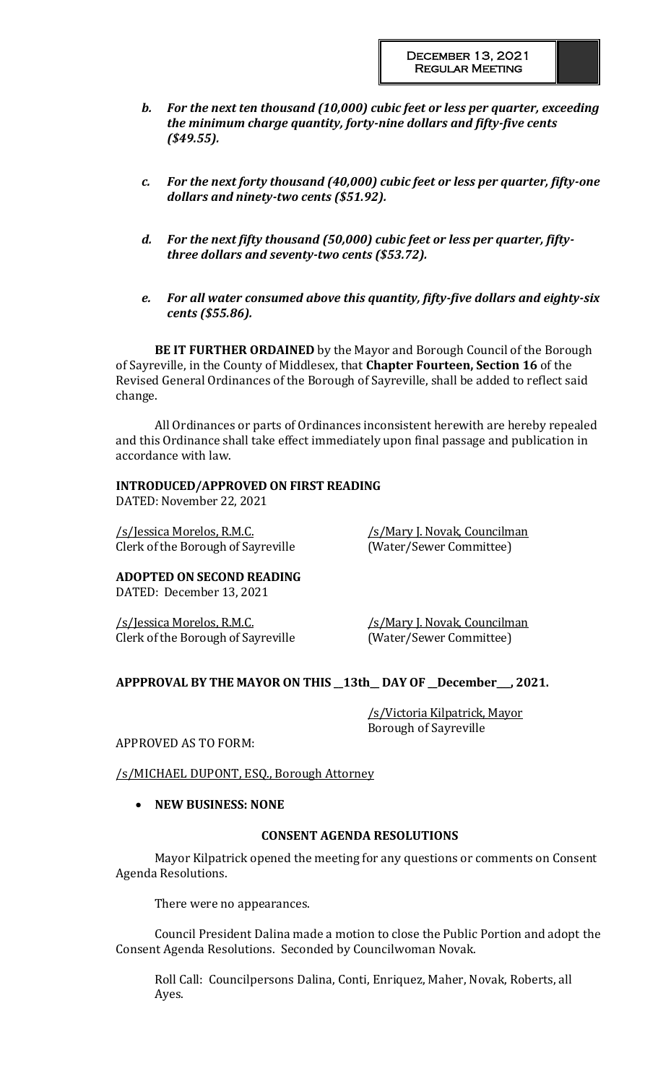- *b. For the next ten thousand (10,000) cubic feet or less per quarter, exceeding the minimum charge quantity, forty-nine dollars and fifty-five cents (\$49.55).*
- *c. For the next forty thousand (40,000) cubic feet or less per quarter, fifty-one dollars and ninety-two cents (\$51.92).*
- *d. For the next fifty thousand (50,000) cubic feet or less per quarter, fiftythree dollars and seventy-two cents (\$53.72).*
- *e. For all water consumed above this quantity, fifty-five dollars and eighty-six cents (\$55.86).*

**BE IT FURTHER ORDAINED** by the Mayor and Borough Council of the Borough of Sayreville, in the County of Middlesex, that **Chapter Fourteen, Section 16** of the Revised General Ordinances of the Borough of Sayreville, shall be added to reflect said change.

All Ordinances or parts of Ordinances inconsistent herewith are hereby repealed and this Ordinance shall take effect immediately upon final passage and publication in accordance with law.

## **INTRODUCED/APPROVED ON FIRST READING**

DATED: November 22, 2021

/s/Jessica Morelos, R.M.C. /s/Mary J. Novak, Councilman Clerk of the Borough of Sayreville (Water/Sewer Committee)

**ADOPTED ON SECOND READING** DATED: December 13, 2021

/s/Jessica Morelos, R.M.C. /s/Mary J. Novak, Councilman Clerk of the Borough of Sayreville (Water/Sewer Committee)

# **APPPROVAL BY THE MAYOR ON THIS \_\_13th\_\_ DAY OF \_\_December\_\_\_, 2021.**

/s/Victoria Kilpatrick, Mayor Borough of Sayreville

APPROVED AS TO FORM:

/s/MICHAEL DUPONT, ESQ., Borough Attorney

• **NEW BUSINESS: NONE**

## **CONSENT AGENDA RESOLUTIONS**

Mayor Kilpatrick opened the meeting for any questions or comments on Consent Agenda Resolutions.

There were no appearances.

Council President Dalina made a motion to close the Public Portion and adopt the Consent Agenda Resolutions. Seconded by Councilwoman Novak.

Roll Call: Councilpersons Dalina, Conti, Enriquez, Maher, Novak, Roberts, all Ayes.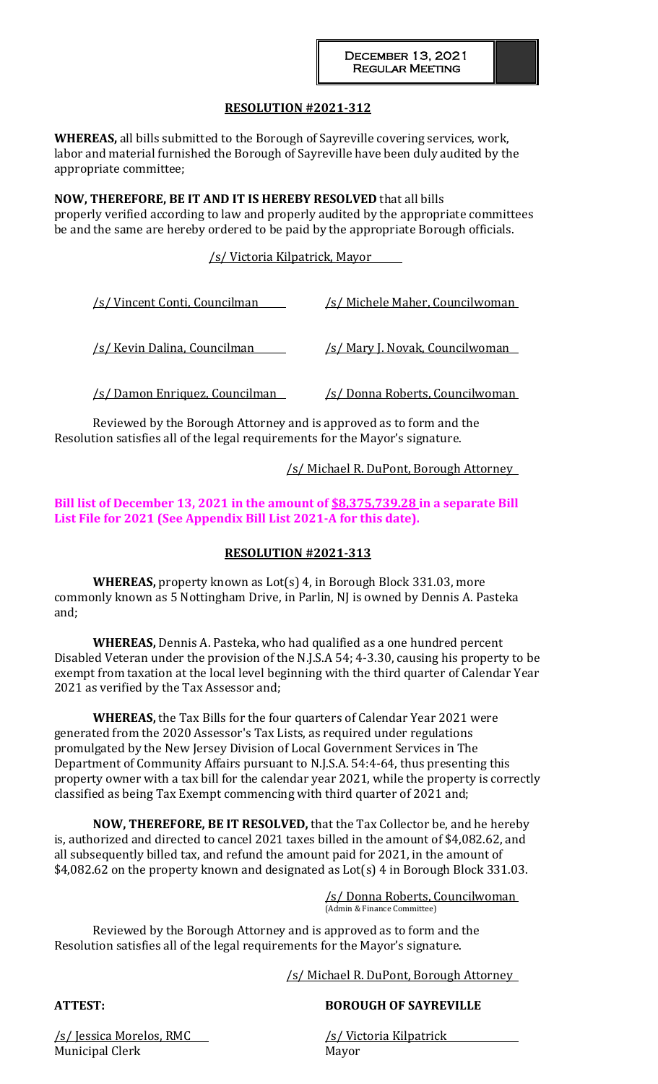## **RESOLUTION #2021-312**

**WHEREAS,** all bills submitted to the Borough of Sayreville covering services, work, labor and material furnished the Borough of Sayreville have been duly audited by the appropriate committee;

**NOW, THEREFORE, BE IT AND IT IS HEREBY RESOLVED** that all bills properly verified according to law and properly audited by the appropriate committees be and the same are hereby ordered to be paid by the appropriate Borough officials.

/s/ Victoria Kilpatrick, Mayor

| /s/ Vincent Conti, Councilman          | /s/ Michele Maher, Councilwoman        |
|----------------------------------------|----------------------------------------|
| /s/ Kevin Dalina, Councilman           | <u>/s/ Mary J. Novak, Councilwoman</u> |
| <u>/s/ Damon Enriquez, Councilman_</u> | <u>/s/ Donna Roberts, Councilwoman</u> |

Reviewed by the Borough Attorney and is approved as to form and the Resolution satisfies all of the legal requirements for the Mayor's signature.

## /s/ Michael R. DuPont, Borough Attorney

**Bill list of December 13, 2021 in the amount of \$8,375,739.28 in a separate Bill List File for 2021 (See Appendix Bill List 2021-A for this date).**

# **RESOLUTION #2021-313**

**WHEREAS,** property known as Lot(s) 4, in Borough Block 331.03, more commonly known as 5 Nottingham Drive, in Parlin, NJ is owned by Dennis A. Pasteka and;

**WHEREAS,** Dennis A. Pasteka, who had qualified as a one hundred percent Disabled Veteran under the provision of the N.J.S.A 54; 4-3.30, causing his property to be exempt from taxation at the local level beginning with the third quarter of Calendar Year 2021 as verified by the Tax Assessor and;

**WHEREAS,** the Tax Bills for the four quarters of Calendar Year 2021 were generated from the 2020 Assessor's Tax Lists, as required under regulations promulgated by the New Jersey Division of Local Government Services in The Department of Community Affairs pursuant to N.J.S.A. 54:4-64, thus presenting this property owner with a tax bill for the calendar year 2021, while the property is correctly classified as being Tax Exempt commencing with third quarter of 2021 and;

**NOW, THEREFORE, BE IT RESOLVED,** that the Tax Collector be, and he hereby is, authorized and directed to cancel 2021 taxes billed in the amount of \$4,082.62, and all subsequently billed tax, and refund the amount paid for 2021, in the amount of \$4,082.62 on the property known and designated as Lot(s) 4 in Borough Block 331.03.

> /s/ Donna Roberts, Councilwoman (Admin & Finance Committee)

Reviewed by the Borough Attorney and is approved as to form and the Resolution satisfies all of the legal requirements for the Mayor's signature.

/s/ Michael R. DuPont, Borough Attorney

# **ATTEST: BOROUGH OF SAYREVILLE**

/s/ Jessica Morelos, RMC /s/ Victoria Kilpatrick Municipal Clerk Mayor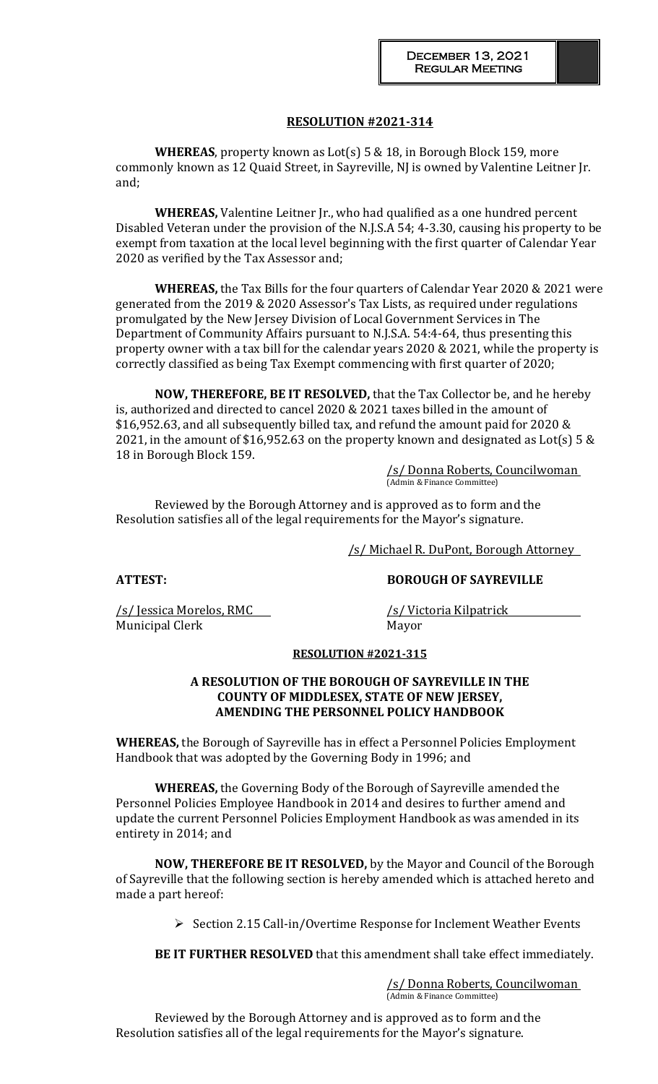# **RESOLUTION #2021-314**

**WHEREAS**, property known as Lot(s) 5 & 18, in Borough Block 159, more commonly known as 12 Quaid Street, in Sayreville, NJ is owned by Valentine Leitner Jr. and;

**WHEREAS,** Valentine Leitner Jr., who had qualified as a one hundred percent Disabled Veteran under the provision of the N.J.S.A 54; 4-3.30, causing his property to be exempt from taxation at the local level beginning with the first quarter of Calendar Year 2020 as verified by the Tax Assessor and;

**WHEREAS,** the Tax Bills for the four quarters of Calendar Year 2020 & 2021 were generated from the 2019 & 2020 Assessor's Tax Lists, as required under regulations promulgated by the New Jersey Division of Local Government Services in The Department of Community Affairs pursuant to N.J.S.A. 54:4-64, thus presenting this property owner with a tax bill for the calendar years 2020 & 2021, while the property is correctly classified as being Tax Exempt commencing with first quarter of 2020;

**NOW, THEREFORE, BE IT RESOLVED,** that the Tax Collector be, and he hereby is, authorized and directed to cancel 2020 & 2021 taxes billed in the amount of \$16,952.63, and all subsequently billed tax, and refund the amount paid for 2020 & 2021, in the amount of \$16,952.63 on the property known and designated as Lot(s) 5  $\&$ 18 in Borough Block 159.

> /s/ Donna Roberts, Councilwoman (Admin & Finance Committee)

Reviewed by the Borough Attorney and is approved as to form and the Resolution satisfies all of the legal requirements for the Mayor's signature.

/s/ Michael R. DuPont, Borough Attorney

## **ATTEST: BOROUGH OF SAYREVILLE**

/s/ Jessica Morelos, RMC /s/ Victoria Kilpatrick Municipal Clerk Mayor

## **RESOLUTION #2021-315**

## **A RESOLUTION OF THE BOROUGH OF SAYREVILLE IN THE COUNTY OF MIDDLESEX, STATE OF NEW JERSEY, AMENDING THE PERSONNEL POLICY HANDBOOK**

**WHEREAS,** the Borough of Sayreville has in effect a Personnel Policies Employment Handbook that was adopted by the Governing Body in 1996; and

**WHEREAS,** the Governing Body of the Borough of Sayreville amended the Personnel Policies Employee Handbook in 2014 and desires to further amend and update the current Personnel Policies Employment Handbook as was amended in its entirety in 2014; and

**NOW, THEREFORE BE IT RESOLVED,** by the Mayor and Council of the Borough of Sayreville that the following section is hereby amended which is attached hereto and made a part hereof:

➢ Section 2.15 Call-in/Overtime Response for Inclement Weather Events

**BE IT FURTHER RESOLVED** that this amendment shall take effect immediately.

/s/ Donna Roberts, Councilwoman (Admin & Finance Committee)

Reviewed by the Borough Attorney and is approved as to form and the Resolution satisfies all of the legal requirements for the Mayor's signature.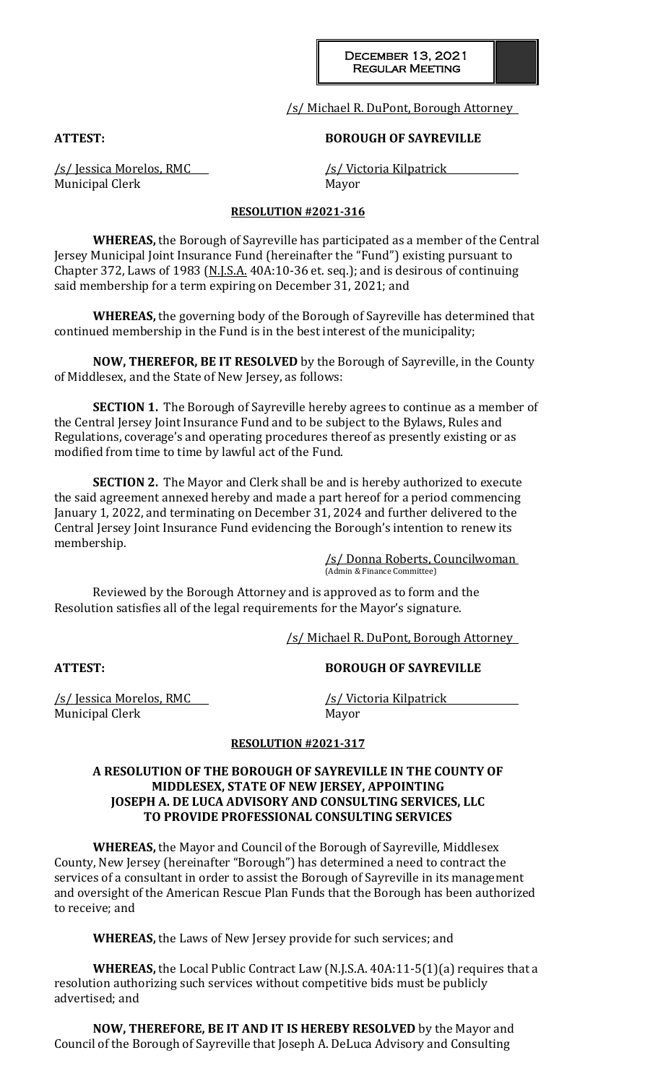/s/ Michael R. DuPont, Borough Attorney

## **ATTEST: BOROUGH OF SAYREVILLE**

/s/ Jessica Morelos, RMC /s/ Victoria Kilpatrick Municipal Clerk Mayor

## **RESOLUTION #2021-316**

**WHEREAS,** the Borough of Sayreville has participated as a member of the Central Jersey Municipal Joint Insurance Fund (hereinafter the "Fund") existing pursuant to Chapter 372, Laws of 1983 (N.J.S.A. 40A:10-36 et. seq.); and is desirous of continuing said membership for a term expiring on December 31, 2021; and

**WHEREAS,** the governing body of the Borough of Sayreville has determined that continued membership in the Fund is in the best interest of the municipality;

**NOW, THEREFOR, BE IT RESOLVED** by the Borough of Sayreville, in the County of Middlesex, and the State of New Jersey, as follows:

**SECTION 1.** The Borough of Sayreville hereby agrees to continue as a member of the Central Jersey Joint Insurance Fund and to be subject to the Bylaws, Rules and Regulations, coverage's and operating procedures thereof as presently existing or as modified from time to time by lawful act of the Fund.

**SECTION 2.** The Mayor and Clerk shall be and is hereby authorized to execute the said agreement annexed hereby and made a part hereof for a period commencing January 1, 2022, and terminating on December 31, 2024 and further delivered to the Central Jersey Joint Insurance Fund evidencing the Borough's intention to renew its membership.

/s/ Donna Roberts, Councilwoman (Admin & Finance Committee)

Reviewed by the Borough Attorney and is approved as to form and the Resolution satisfies all of the legal requirements for the Mayor's signature.

/s/ Michael R. DuPont, Borough Attorney

**ATTEST: BOROUGH OF SAYREVILLE**

/s/ Jessica Morelos, RMC 4.1 /s/ Victoria Kilpatrick Municipal Clerk Mayor

## **RESOLUTION #2021-317**

## **A RESOLUTION OF THE BOROUGH OF SAYREVILLE IN THE COUNTY OF MIDDLESEX, STATE OF NEW JERSEY, APPOINTING JOSEPH A. DE LUCA ADVISORY AND CONSULTING SERVICES, LLC TO PROVIDE PROFESSIONAL CONSULTING SERVICES**

**WHEREAS,** the Mayor and Council of the Borough of Sayreville, Middlesex County, New Jersey (hereinafter "Borough") has determined a need to contract the services of a consultant in order to assist the Borough of Sayreville in its management and oversight of the American Rescue Plan Funds that the Borough has been authorized to receive; and

**WHEREAS,** the Laws of New Jersey provide for such services; and

**WHEREAS,** the Local Public Contract Law (N.J.S.A. 40A:11-5(1)(a) requires that a resolution authorizing such services without competitive bids must be publicly advertised; and

**NOW, THEREFORE, BE IT AND IT IS HEREBY RESOLVED** by the Mayor and Council of the Borough of Sayreville that Joseph A. DeLuca Advisory and Consulting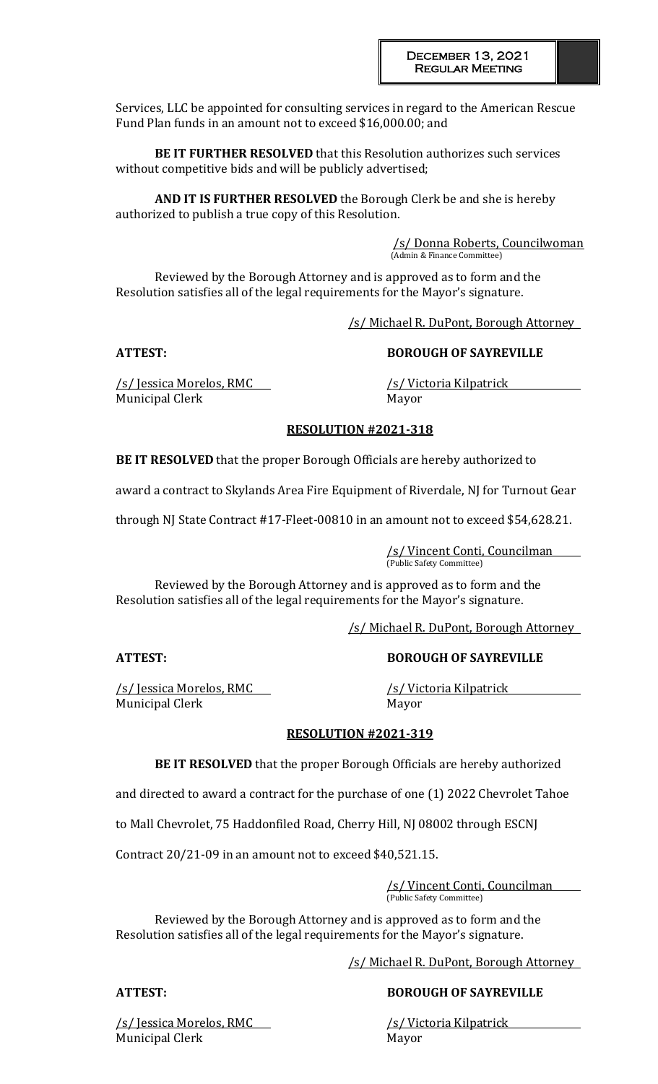Services, LLC be appointed for consulting services in regard to the American Rescue Fund Plan funds in an amount not to exceed \$16,000.00; and

**BE IT FURTHER RESOLVED** that this Resolution authorizes such services without competitive bids and will be publicly advertised;

**AND IT IS FURTHER RESOLVED** the Borough Clerk be and she is hereby authorized to publish a true copy of this Resolution.

> /s/ Donna Roberts, Councilwoman (Admin & Finance Committee)

Reviewed by the Borough Attorney and is approved as to form and the Resolution satisfies all of the legal requirements for the Mayor's signature.

/s/ Michael R. DuPont, Borough Attorney

## **ATTEST: BOROUGH OF SAYREVILLE**

Municipal Clerk Mayor

/s/ Jessica Morelos, RMC /s/ Victoria Kilpatrick

# **RESOLUTION #2021-318**

**BE IT RESOLVED** that the proper Borough Officials are hereby authorized to

award a contract to Skylands Area Fire Equipment of Riverdale, NJ for Turnout Gear

through NJ State Contract #17-Fleet-00810 in an amount not to exceed \$54,628.21.

/s/ Vincent Conti, Councilman (Public Safety Committee)

Reviewed by the Borough Attorney and is approved as to form and the Resolution satisfies all of the legal requirements for the Mayor's signature.

/s/ Michael R. DuPont, Borough Attorney

/s/ Jessica Morelos, RMC /s/ Victoria Kilpatrick Municipal Clerk Mayor

# **ATTEST: BOROUGH OF SAYREVILLE**

## **RESOLUTION #2021-319**

**BE IT RESOLVED** that the proper Borough Officials are hereby authorized

and directed to award a contract for the purchase of one (1) 2022 Chevrolet Tahoe

to Mall Chevrolet, 75 Haddonfiled Road, Cherry Hill, NJ 08002 through ESCNJ

Contract 20/21-09 in an amount not to exceed \$40,521.15.

/s/ Vincent Conti, Councilman (Public Safety Committee)

Reviewed by the Borough Attorney and is approved as to form and the Resolution satisfies all of the legal requirements for the Mayor's signature.

/s/ Michael R. DuPont, Borough Attorney

# **ATTEST: BOROUGH OF SAYREVILLE**

/s/ Jessica Morelos, RMC /s/ Victoria Kilpatrick Municipal Clerk Mayor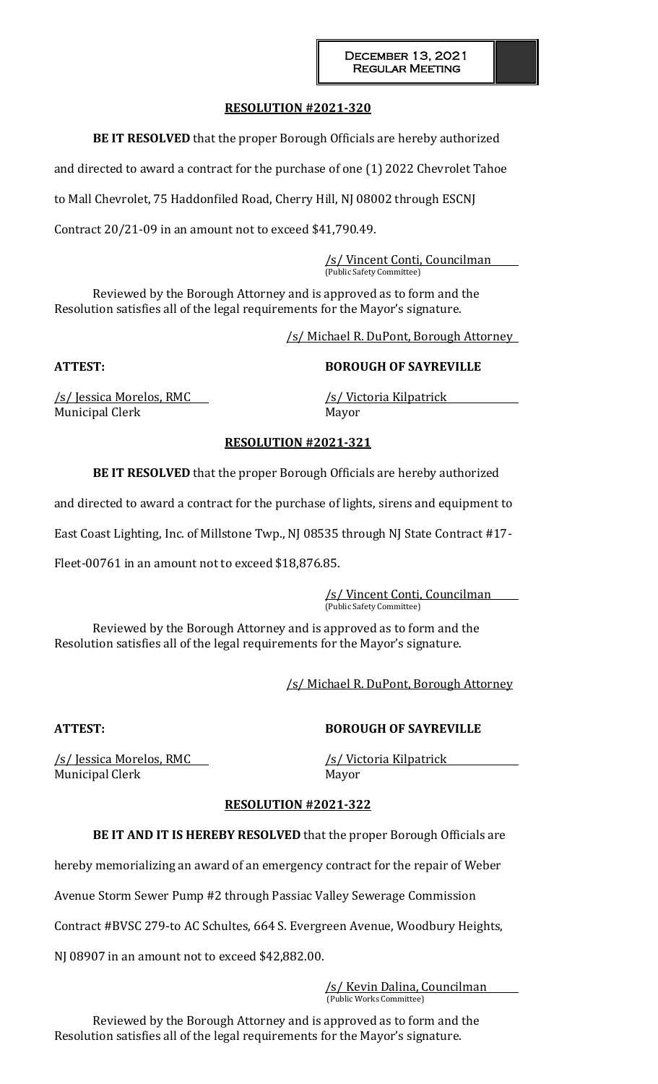## **RESOLUTION #2021-320**

**BE IT RESOLVED** that the proper Borough Officials are hereby authorized

and directed to award a contract for the purchase of one (1) 2022 Chevrolet Tahoe

to Mall Chevrolet, 75 Haddonfiled Road, Cherry Hill, NJ 08002 through ESCNJ

Contract 20/21-09 in an amount not to exceed \$41,790.49.

/s/ Vincent Conti, Councilman (Public Safety Committee)

Reviewed by the Borough Attorney and is approved as to form and the Resolution satisfies all of the legal requirements for the Mayor's signature.

/s/ Michael R. DuPont, Borough Attorney

# **ATTEST: BOROUGH OF SAYREVILLE**

/s/ Jessica Morelos, RMC /s/ Victoria Kilpatrick Municipal Clerk Mayor

# **RESOLUTION #2021-321**

**BE IT RESOLVED** that the proper Borough Officials are hereby authorized

and directed to award a contract for the purchase of lights, sirens and equipment to

East Coast Lighting, Inc. of Millstone Twp., NJ 08535 through NJ State Contract #17-

Fleet-00761 in an amount not to exceed \$18,876.85.

/s/ Vincent Conti, Councilman (Public Safety Committee)

Reviewed by the Borough Attorney and is approved as to form and the Resolution satisfies all of the legal requirements for the Mayor's signature.

/s/ Michael R. DuPont, Borough Attorney

# **ATTEST: BOROUGH OF SAYREVILLE**

/s/ Jessica Morelos, RMC /s/ Victoria Kilpatrick Municipal Clerk Mayor

# **RESOLUTION #2021-322**

**BE IT AND IT IS HEREBY RESOLVED** that the proper Borough Officials are

hereby memorializing an award of an emergency contract for the repair of Weber

Avenue Storm Sewer Pump #2 through Passiac Valley Sewerage Commission

Contract #BVSC 279-to AC Schultes, 664 S. Evergreen Avenue, Woodbury Heights,

NJ 08907 in an amount not to exceed \$42,882.00.

/s/ Kevin Dalina, Councilman (Public Works Committee)

Reviewed by the Borough Attorney and is approved as to form and the Resolution satisfies all of the legal requirements for the Mayor's signature.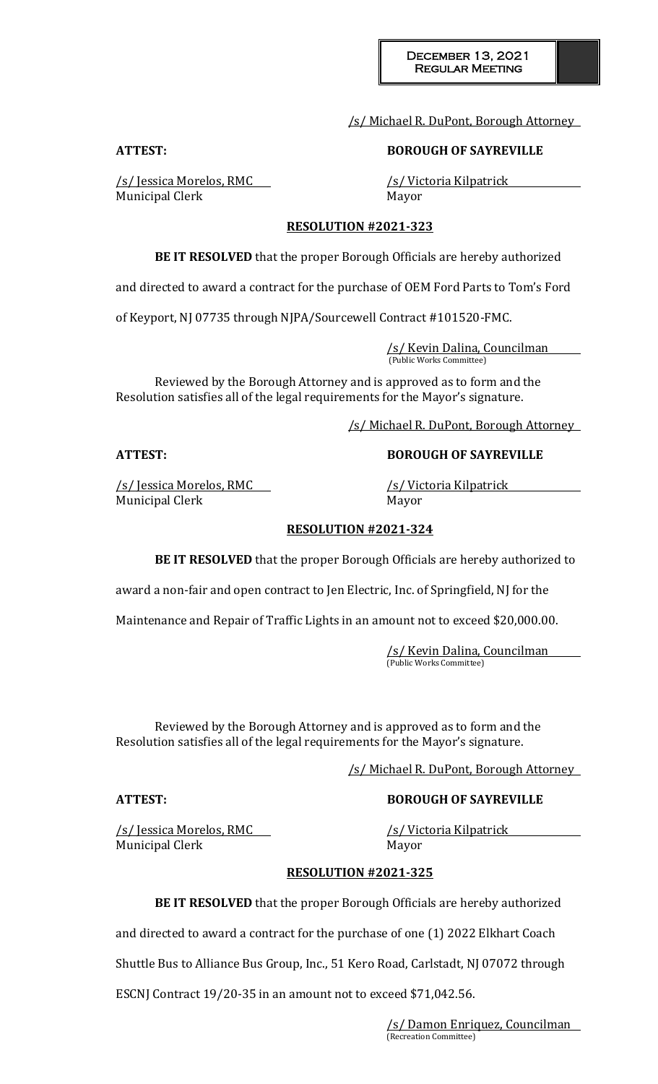# /s/ Michael R. DuPont, Borough Attorney

## **ATTEST: BOROUGH OF SAYREVILLE**

/s/ Jessica Morelos, RMC /s/ Victoria Kilpatrick Municipal Clerk Mayor

# **RESOLUTION #2021-323**

**BE IT RESOLVED** that the proper Borough Officials are hereby authorized

and directed to award a contract for the purchase of OEM Ford Parts to Tom's Ford

of Keyport, NJ 07735 through NJPA/Sourcewell Contract #101520-FMC.

/s/ Kevin Dalina, Councilman (Public Works Committee)

Reviewed by the Borough Attorney and is approved as to form and the Resolution satisfies all of the legal requirements for the Mayor's signature.

/s/ Michael R. DuPont, Borough Attorney

# **ATTEST: BOROUGH OF SAYREVILLE**

/s/ Jessica Morelos, RMC /s/ Victoria Kilpatrick Municipal Clerk Mayor

# **RESOLUTION #2021-324**

**BE IT RESOLVED** that the proper Borough Officials are hereby authorized to

award a non-fair and open contract to Jen Electric, Inc. of Springfield, NJ for the

Maintenance and Repair of Traffic Lights in an amount not to exceed \$20,000.00.

/s/ Kevin Dalina, Councilman (Public Works Committee)

Reviewed by the Borough Attorney and is approved as to form and the Resolution satisfies all of the legal requirements for the Mayor's signature.

/s/ Michael R. DuPont, Borough Attorney

# **ATTEST: BOROUGH OF SAYREVILLE**

/s/ Jessica Morelos, RMC /s/ Victoria Kilpatrick Municipal Clerk Mayor

# **RESOLUTION #2021-325**

**BE IT RESOLVED** that the proper Borough Officials are hereby authorized

and directed to award a contract for the purchase of one (1) 2022 Elkhart Coach

Shuttle Bus to Alliance Bus Group, Inc., 51 Kero Road, Carlstadt, NJ 07072 through

ESCNJ Contract 19/20-35 in an amount not to exceed \$71,042.56.

/s/ Damon Enriquez, Councilman (Recreation Committee)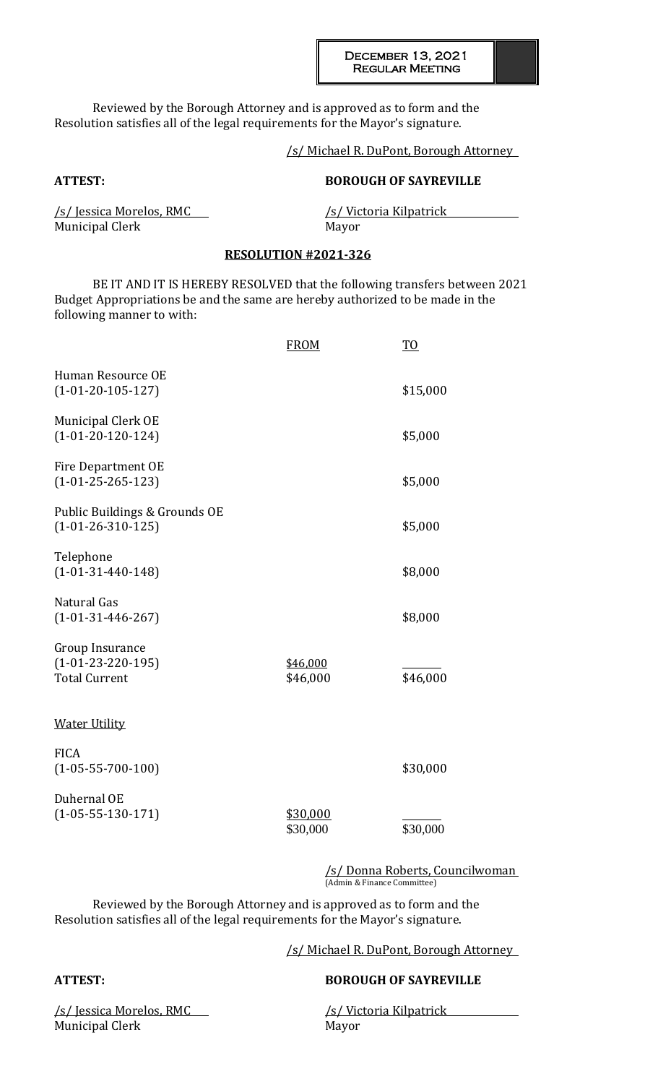December 13, 2021 Regular Meeting

Reviewed by the Borough Attorney and is approved as to form and the Resolution satisfies all of the legal requirements for the Mayor's signature.

## /s/ Michael R. DuPont, Borough Attorney

## **ATTEST: BOROUGH OF SAYREVILLE**

/s/ Jessica Morelos, RMC /s/ Victoria Kilpatrick Municipal Clerk Mayor

## **RESOLUTION #2021-326**

BE IT AND IT IS HEREBY RESOLVED that the following transfers between 2021 Budget Appropriations be and the same are hereby authorized to be made in the following manner to with:

|                                                                | <b>FROM</b>                 | <u>TO</u> |
|----------------------------------------------------------------|-----------------------------|-----------|
| Human Resource OE<br>$(1-01-20-105-127)$                       |                             | \$15,000  |
| Municipal Clerk OE<br>$(1-01-20-120-124)$                      |                             | \$5,000   |
| Fire Department OE<br>$(1-01-25-265-123)$                      |                             | \$5,000   |
| Public Buildings & Grounds OE<br>$(1-01-26-310-125)$           |                             | \$5,000   |
| Telephone<br>$(1-01-31-440-148)$                               |                             | \$8,000   |
| Natural Gas<br>$(1-01-31-446-267)$                             |                             | \$8,000   |
| Group Insurance<br>$(1-01-23-220-195)$<br><b>Total Current</b> | \$46,000<br>\$46,000        | \$46,000  |
| <b>Water Utility</b>                                           |                             |           |
| <b>FICA</b><br>$(1-05-55-700-100)$                             |                             | \$30,000  |
| Duhernal OE<br>$(1-05-55-130-171)$                             | <u>\$30,000</u><br>\$30,000 | \$30,000  |

/s/ Donna Roberts, Councilwoman (Admin & Finance Committee)

Reviewed by the Borough Attorney and is approved as to form and the Resolution satisfies all of the legal requirements for the Mayor's signature.

/s/ Michael R. DuPont, Borough Attorney

## **ATTEST: BOROUGH OF SAYREVILLE**

/s/ Jessica Morelos, RMC /s/ Victoria Kilpatrick Municipal Clerk and Mayor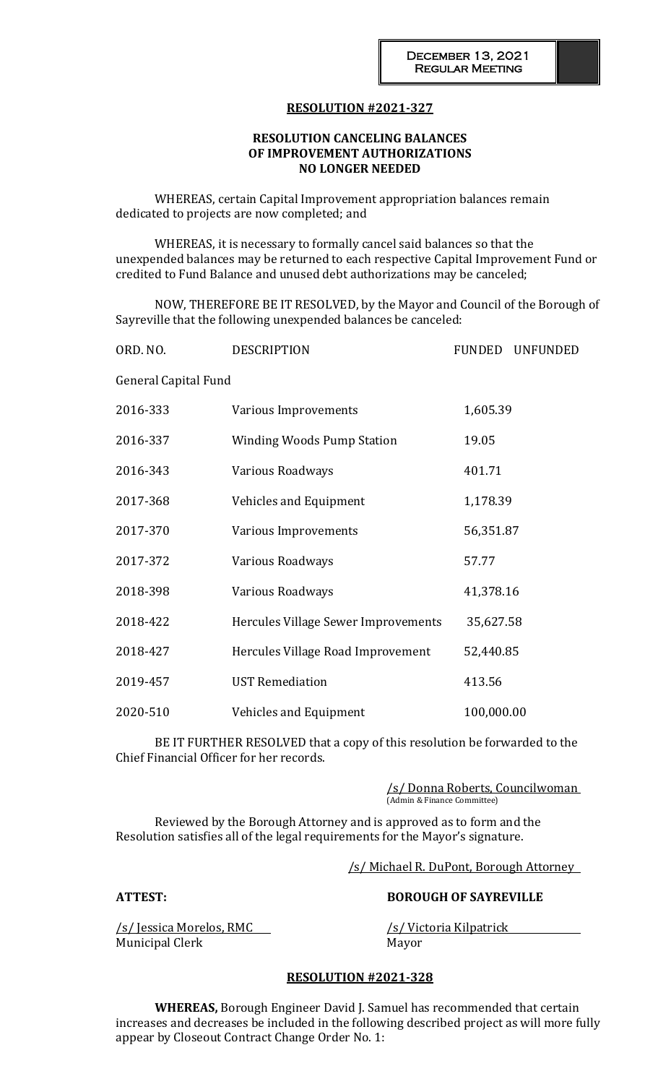## **RESOLUTION #2021-327**

## **RESOLUTION CANCELING BALANCES OF IMPROVEMENT AUTHORIZATIONS NO LONGER NEEDED**

WHEREAS, certain Capital Improvement appropriation balances remain dedicated to projects are now completed; and

WHEREAS, it is necessary to formally cancel said balances so that the unexpended balances may be returned to each respective Capital Improvement Fund or credited to Fund Balance and unused debt authorizations may be canceled;

NOW, THEREFORE BE IT RESOLVED, by the Mayor and Council of the Borough of Sayreville that the following unexpended balances be canceled:

| ORD. NO.                    | <b>DESCRIPTION</b>                  | <b>FUNDED</b> | <b>UNFUNDED</b> |  |
|-----------------------------|-------------------------------------|---------------|-----------------|--|
| <b>General Capital Fund</b> |                                     |               |                 |  |
| 2016-333                    | Various Improvements                | 1,605.39      |                 |  |
| 2016-337                    | <b>Winding Woods Pump Station</b>   | 19.05         |                 |  |
| 2016-343                    | Various Roadways                    | 401.71        |                 |  |
| 2017-368                    | Vehicles and Equipment              | 1,178.39      |                 |  |
| 2017-370                    | Various Improvements                | 56,351.87     |                 |  |
| 2017-372                    | Various Roadways                    | 57.77         |                 |  |
| 2018-398                    | Various Roadways                    | 41,378.16     |                 |  |
| 2018-422                    | Hercules Village Sewer Improvements | 35,627.58     |                 |  |
| 2018-427                    | Hercules Village Road Improvement   | 52,440.85     |                 |  |
| 2019-457                    | <b>UST Remediation</b>              | 413.56        |                 |  |
| 2020-510                    | Vehicles and Equipment              | 100,000.00    |                 |  |

BE IT FURTHER RESOLVED that a copy of this resolution be forwarded to the Chief Financial Officer for her records.

> /s/ Donna Roberts, Councilwoman (Admin & Finance Committee)

Reviewed by the Borough Attorney and is approved as to form and the Resolution satisfies all of the legal requirements for the Mayor's signature.

/s/ Michael R. DuPont, Borough Attorney

/s/ Jessica Morelos, RMC /s/ Victoria Kilpatrick Municipal Clerk Mayor

**ATTEST: BOROUGH OF SAYREVILLE**

## **RESOLUTION #2021-328**

**WHEREAS,** Borough Engineer David J. Samuel has recommended that certain increases and decreases be included in the following described project as will more fully appear by Closeout Contract Change Order No. 1: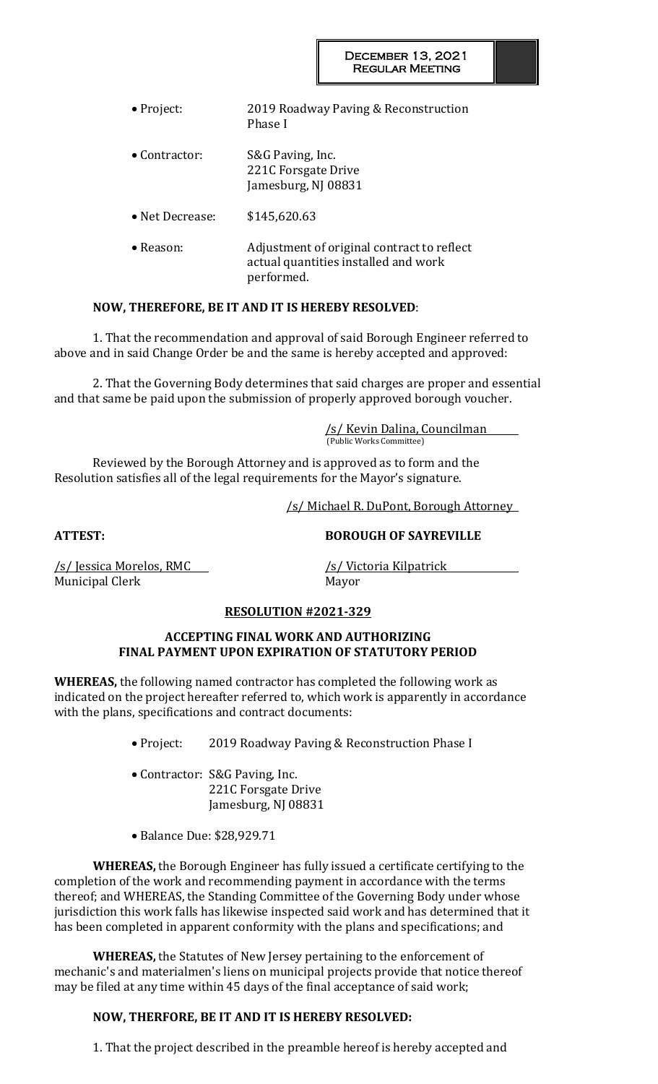| $\bullet$ Project: | 2019 Roadway Paving & Reconstruction<br>Phase I |  |
|--------------------|-------------------------------------------------|--|
| • Contractor:      | S&G Paving, Inc.                                |  |

- 221C Forsgate Drive Jamesburg, NJ 08831
- Net Decrease: \$145,620.63
- Reason: Adjustment of original contract to reflect actual quantities installed and work performed.

# **NOW, THEREFORE, BE IT AND IT IS HEREBY RESOLVED**:

1. That the recommendation and approval of said Borough Engineer referred to above and in said Change Order be and the same is hereby accepted and approved:

2. That the Governing Body determines that said charges are proper and essential and that same be paid upon the submission of properly approved borough voucher.

> /s/ Kevin Dalina, Councilman (Public Works Committee)

Reviewed by the Borough Attorney and is approved as to form and the Resolution satisfies all of the legal requirements for the Mayor's signature.

/s/ Michael R. DuPont, Borough Attorney

# **ATTEST: BOROUGH OF SAYREVILLE**

/s/ Jessica Morelos, RMC /s/ Victoria Kilpatrick Municipal Clerk Mayor

# **RESOLUTION #2021-329**

## **ACCEPTING FINAL WORK AND AUTHORIZING FINAL PAYMENT UPON EXPIRATION OF STATUTORY PERIOD**

**WHEREAS,** the following named contractor has completed the following work as indicated on the project hereafter referred to, which work is apparently in accordance with the plans, specifications and contract documents:

- Project: 2019 Roadway Paving & Reconstruction Phase I
- Contractor: S&G Paving, Inc. 221C Forsgate Drive Jamesburg, NJ 08831
- Balance Due: \$28,929.71

**WHEREAS,** the Borough Engineer has fully issued a certificate certifying to the completion of the work and recommending payment in accordance with the terms thereof; and WHEREAS, the Standing Committee of the Governing Body under whose jurisdiction this work falls has likewise inspected said work and has determined that it has been completed in apparent conformity with the plans and specifications; and

**WHEREAS,** the Statutes of New Jersey pertaining to the enforcement of mechanic's and materialmen's liens on municipal projects provide that notice thereof may be filed at any time within 45 days of the final acceptance of said work;

# **NOW, THERFORE, BE IT AND IT IS HEREBY RESOLVED:**

1. That the project described in the preamble hereof is hereby accepted and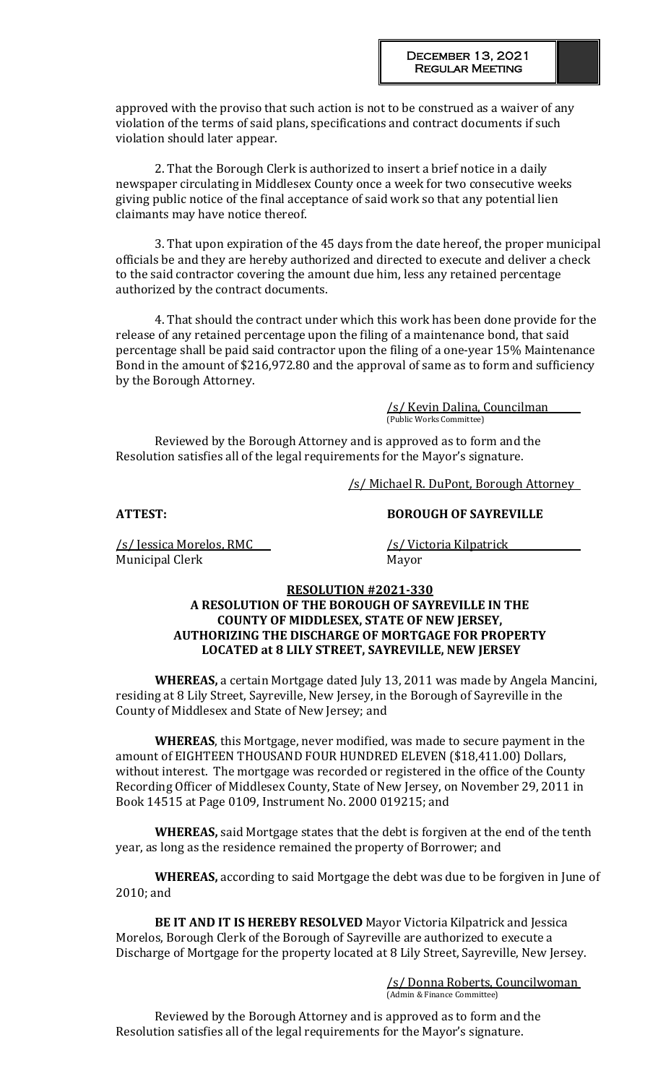approved with the proviso that such action is not to be construed as a waiver of any violation of the terms of said plans, specifications and contract documents if such violation should later appear.

2. That the Borough Clerk is authorized to insert a brief notice in a daily newspaper circulating in Middlesex County once a week for two consecutive weeks giving public notice of the final acceptance of said work so that any potential lien claimants may have notice thereof.

3. That upon expiration of the 45 days from the date hereof, the proper municipal officials be and they are hereby authorized and directed to execute and deliver a check to the said contractor covering the amount due him, less any retained percentage authorized by the contract documents.

4. That should the contract under which this work has been done provide for the release of any retained percentage upon the filing of a maintenance bond, that said percentage shall be paid said contractor upon the filing of a one-year 15% Maintenance Bond in the amount of \$216,972.80 and the approval of same as to form and sufficiency by the Borough Attorney.

> /s/ Kevin Dalina, Councilman (Public Works Committee)

Reviewed by the Borough Attorney and is approved as to form and the Resolution satisfies all of the legal requirements for the Mayor's signature.

/s/ Michael R. DuPont, Borough Attorney

# **ATTEST: BOROUGH OF SAYREVILLE**

/s/ Jessica Morelos, RMC /s/ Victoria Kilpatrick Municipal Clerk Mayor

## **RESOLUTION #2021-330 A RESOLUTION OF THE BOROUGH OF SAYREVILLE IN THE COUNTY OF MIDDLESEX, STATE OF NEW JERSEY, AUTHORIZING THE DISCHARGE OF MORTGAGE FOR PROPERTY LOCATED at 8 LILY STREET, SAYREVILLE, NEW JERSEY**

**WHEREAS,** a certain Mortgage dated July 13, 2011 was made by Angela Mancini, residing at 8 Lily Street, Sayreville, New Jersey, in the Borough of Sayreville in the County of Middlesex and State of New Jersey; and

**WHEREAS**, this Mortgage, never modified, was made to secure payment in the amount of EIGHTEEN THOUSAND FOUR HUNDRED ELEVEN (\$18,411.00) Dollars, without interest. The mortgage was recorded or registered in the office of the County Recording Officer of Middlesex County, State of New Jersey, on November 29, 2011 in Book 14515 at Page 0109, Instrument No. 2000 019215; and

**WHEREAS,** said Mortgage states that the debt is forgiven at the end of the tenth year, as long as the residence remained the property of Borrower; and

**WHEREAS,** according to said Mortgage the debt was due to be forgiven in June of 2010; and

**BE IT AND IT IS HEREBY RESOLVED** Mayor Victoria Kilpatrick and Jessica Morelos, Borough Clerk of the Borough of Sayreville are authorized to execute a Discharge of Mortgage for the property located at 8 Lily Street, Sayreville, New Jersey.

> /s/ Donna Roberts, Councilwoman (Admin & Finance Committee)

Reviewed by the Borough Attorney and is approved as to form and the Resolution satisfies all of the legal requirements for the Mayor's signature.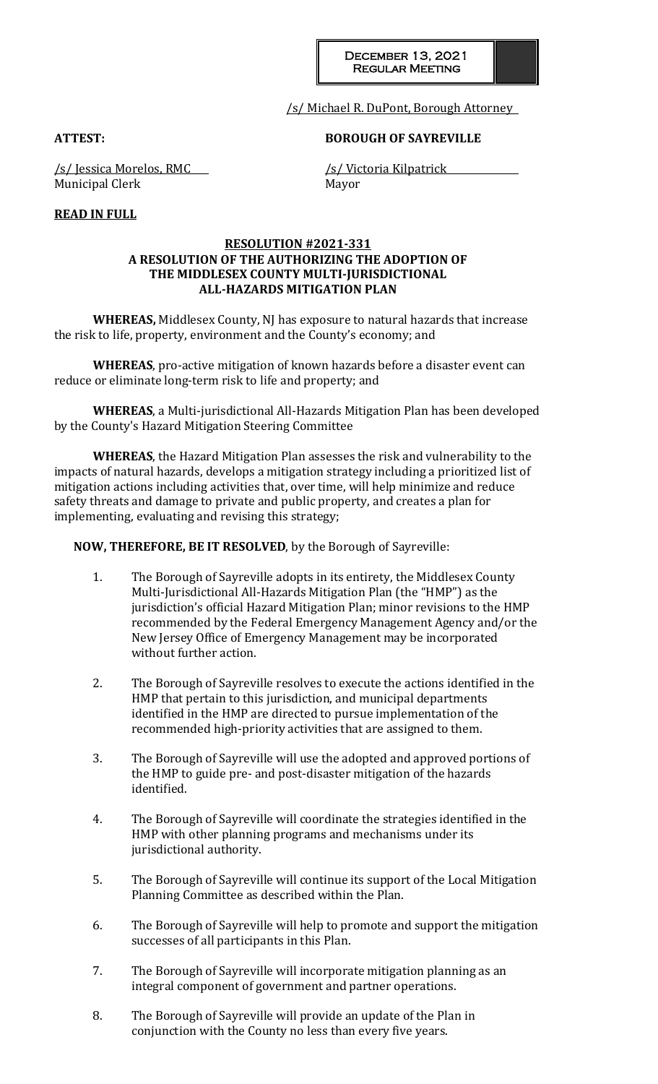/s/ Michael R. DuPont, Borough Attorney

# **ATTEST: BOROUGH OF SAYREVILLE**

/s/ Jessica Morelos, RMC /s/ Victoria Kilpatrick Municipal Clerk Mayor

# **READ IN FULL**

## **RESOLUTION #2021-331 A RESOLUTION OF THE AUTHORIZING THE ADOPTION OF THE MIDDLESEX COUNTY MULTI‐JURISDICTIONAL ALL‐HAZARDS MITIGATION PLAN**

**WHEREAS,** Middlesex County, NJ has exposure to natural hazards that increase the risk to life, property, environment and the County's economy; and

**WHEREAS**, pro‐active mitigation of known hazards before a disaster event can reduce or eliminate long‐term risk to life and property; and

**WHEREAS**, a Multi-jurisdictional All-Hazards Mitigation Plan has been developed by the County's Hazard Mitigation Steering Committee

**WHEREAS**, the Hazard Mitigation Plan assesses the risk and vulnerability to the impacts of natural hazards, develops a mitigation strategy including a prioritized list of mitigation actions including activities that, over time, will help minimize and reduce safety threats and damage to private and public property, and creates a plan for implementing, evaluating and revising this strategy;

**NOW, THEREFORE, BE IT RESOLVED**, by the Borough of Sayreville:

- 1. The Borough of Sayreville adopts in its entirety, the Middlesex County Multi‐Jurisdictional All‐Hazards Mitigation Plan (the "HMP") as the jurisdiction's official Hazard Mitigation Plan; minor revisions to the HMP recommended by the Federal Emergency Management Agency and/or the New Jersey Office of Emergency Management may be incorporated without further action.
- 2. The Borough of Sayreville resolves to execute the actions identified in the HMP that pertain to this jurisdiction, and municipal departments identified in the HMP are directed to pursue implementation of the recommended high-priority activities that are assigned to them.
- 3. The Borough of Sayreville will use the adopted and approved portions of the HMP to guide pre‐ and post‐disaster mitigation of the hazards identified.
- 4. The Borough of Sayreville will coordinate the strategies identified in the HMP with other planning programs and mechanisms under its jurisdictional authority.
- 5. The Borough of Sayreville will continue its support of the Local Mitigation Planning Committee as described within the Plan.
- 6. The Borough of Sayreville will help to promote and support the mitigation successes of all participants in this Plan.
- 7. The Borough of Sayreville will incorporate mitigation planning as an integral component of government and partner operations.
- 8. The Borough of Sayreville will provide an update of the Plan in conjunction with the County no less than every five years.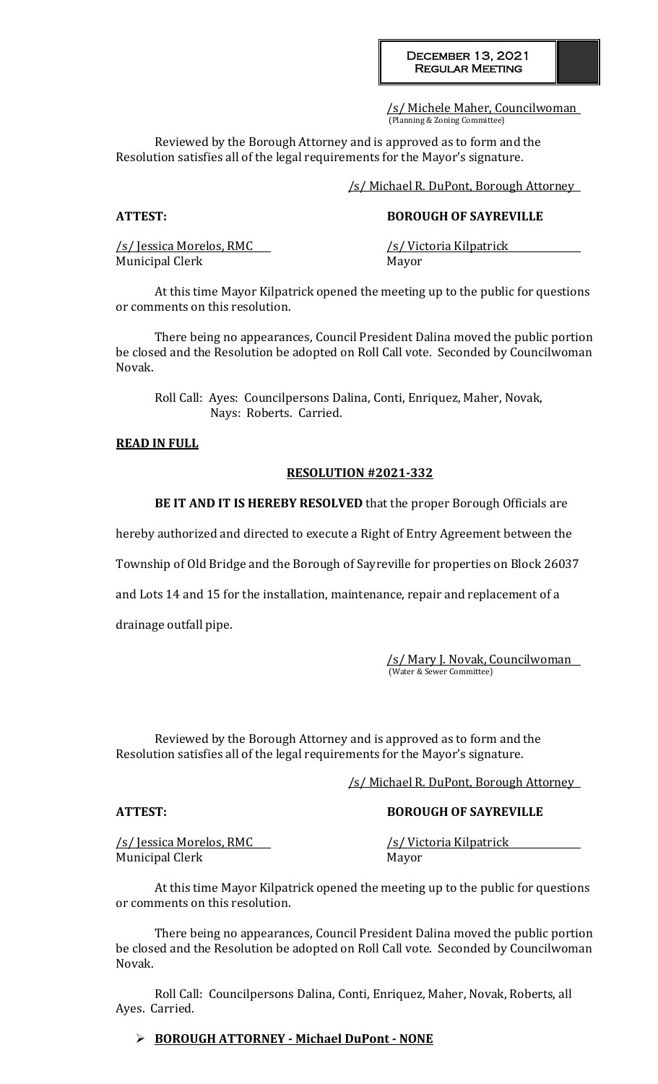## December 13, 2021 Regular Meeting

/s/ Michele Maher, Councilwoman (Planning & Zoning Committee)

Reviewed by the Borough Attorney and is approved as to form and the Resolution satisfies all of the legal requirements for the Mayor's signature.

/s/ Michael R. DuPont, Borough Attorney

# **ATTEST: BOROUGH OF SAYREVILLE**

/s/ Jessica Morelos, RMC /s/ Victoria Kilpatrick Municipal Clerk Mayor

At this time Mayor Kilpatrick opened the meeting up to the public for questions or comments on this resolution.

There being no appearances, Council President Dalina moved the public portion be closed and the Resolution be adopted on Roll Call vote. Seconded by Councilwoman Novak.

Roll Call: Ayes: Councilpersons Dalina, Conti, Enriquez, Maher, Novak, Nays: Roberts. Carried.

## **READ IN FULL**

## **RESOLUTION #2021-332**

**BE IT AND IT IS HEREBY RESOLVED** that the proper Borough Officials are

hereby authorized and directed to execute a Right of Entry Agreement between the

Township of Old Bridge and the Borough of Sayreville for properties on Block 26037

and Lots 14 and 15 for the installation, maintenance, repair and replacement of a

drainage outfall pipe.

/s/ Mary J. Novak, Councilwoman (Water & Sewer Committee)

Reviewed by the Borough Attorney and is approved as to form and the Resolution satisfies all of the legal requirements for the Mayor's signature.

/s/ Michael R. DuPont, Borough Attorney

# **ATTEST: BOROUGH OF SAYREVILLE**

/s/ Jessica Morelos, RMC /s/ Victoria Kilpatrick Municipal Clerk Mayor

At this time Mayor Kilpatrick opened the meeting up to the public for questions or comments on this resolution.

There being no appearances, Council President Dalina moved the public portion be closed and the Resolution be adopted on Roll Call vote. Seconded by Councilwoman Novak.

Roll Call: Councilpersons Dalina, Conti, Enriquez, Maher, Novak, Roberts, all Ayes. Carried.

# ➢ **BOROUGH ATTORNEY - Michael DuPont - NONE**